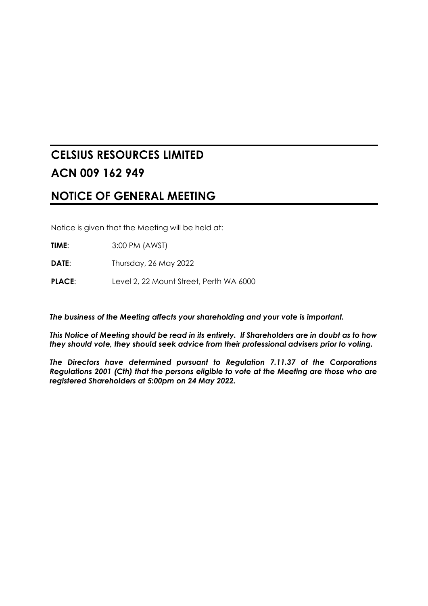# **CELSIUS RESOURCES LIMITED ACN 009 162 949**

# **NOTICE OF GENERAL MEETING**

Notice is given that the Meeting will be held at:

**TIME**: 3:00 PM (AWST)

**DATE**: Thursday, 26 May 2022

**PLACE:** Level 2, 22 Mount Street, Perth WA 6000

*The business of the Meeting affects your shareholding and your vote is important.*

*This Notice of Meeting should be read in its entirety. If Shareholders are in doubt as to how they should vote, they should seek advice from their professional advisers prior to voting.*

*The Directors have determined pursuant to Regulation 7.11.37 of the Corporations Regulations 2001 (Cth) that the persons eligible to vote at the Meeting are those who are registered Shareholders at 5:00pm on 24 May 2022.*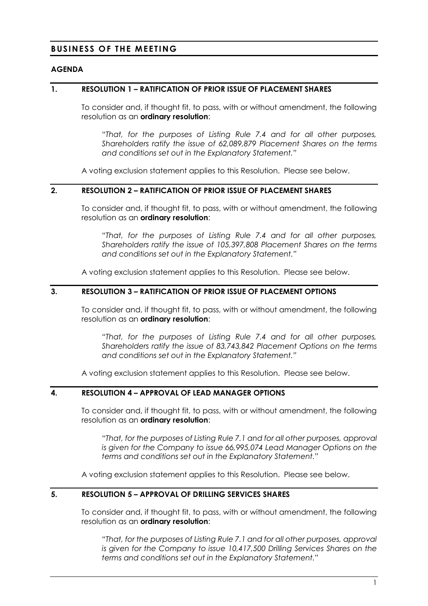## **BUSINESS OF THE MEETING**

#### **AGENDA**

#### **1. RESOLUTION 1 – RATIFICATION OF PRIOR ISSUE OF PLACEMENT SHARES**

To consider and, if thought fit, to pass, with or without amendment, the following resolution as an **ordinary resolution**:

*"That, for the purposes of Listing Rule 7.4 and for all other purposes, Shareholders ratify the issue of 62,089,879 Placement Shares on the terms and conditions set out in the Explanatory Statement."*

A voting exclusion statement applies to this Resolution. Please see below.

#### **2. RESOLUTION 2 – RATIFICATION OF PRIOR ISSUE OF PLACEMENT SHARES**

To consider and, if thought fit, to pass, with or without amendment, the following resolution as an **ordinary resolution**:

*"That, for the purposes of Listing Rule 7.4 and for all other purposes, Shareholders ratify the issue of 105,397,808 Placement Shares on the terms and conditions set out in the Explanatory Statement."*

A voting exclusion statement applies to this Resolution. Please see below.

#### **3. RESOLUTION 3 – RATIFICATION OF PRIOR ISSUE OF PLACEMENT OPTIONS**

To consider and, if thought fit, to pass, with or without amendment, the following resolution as an **ordinary resolution**:

*"That, for the purposes of Listing Rule 7.4 and for all other purposes, Shareholders ratify the issue of 83,743,842 Placement Options on the terms and conditions set out in the Explanatory Statement."*

A voting exclusion statement applies to this Resolution. Please see below.

## **4. RESOLUTION 4 – APPROVAL OF LEAD MANAGER OPTIONS**

To consider and, if thought fit, to pass, with or without amendment, the following resolution as an **ordinary resolution**:

*"That, for the purposes of Listing Rule 7.1 and for all other purposes, approval is given for the Company to issue 66,995,074 Lead Manager Options on the terms and conditions set out in the Explanatory Statement."*

A voting exclusion statement applies to this Resolution. Please see below.

## **5. RESOLUTION 5 – APPROVAL OF DRILLING SERVICES SHARES**

To consider and, if thought fit, to pass, with or without amendment, the following resolution as an **ordinary resolution**:

*"That, for the purposes of Listing Rule 7.1 and for all other purposes, approval is given for the Company to issue 10,417,500 Drilling Services Shares on the terms and conditions set out in the Explanatory Statement."*

1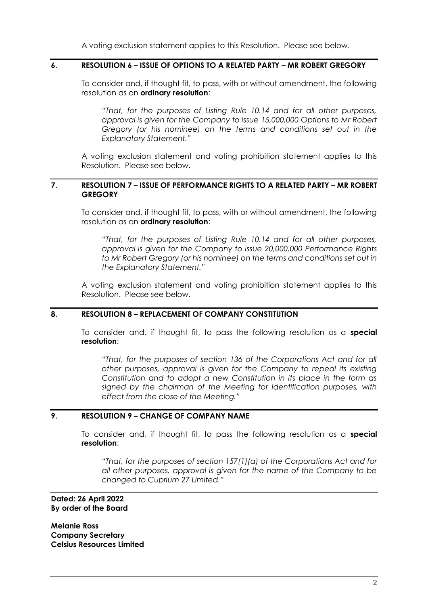A voting exclusion statement applies to this Resolution. Please see below.

#### **6. RESOLUTION 6 – ISSUE OF OPTIONS TO A RELATED PARTY – MR ROBERT GREGORY**

To consider and, if thought fit, to pass, with or without amendment, the following resolution as an **ordinary resolution**:

*"That, for the purposes of Listing Rule 10.14 and for all other purposes, approval is given for the Company to issue 15,000,000 Options to Mr Robert Gregory (or his nominee) on the terms and conditions set out in the Explanatory Statement."*

A voting exclusion statement and voting prohibition statement applies to this Resolution. Please see below.

## **7. RESOLUTION 7 – ISSUE OF PERFORMANCE RIGHTS TO A RELATED PARTY – MR ROBERT GREGORY**

To consider and, if thought fit, to pass, with or without amendment, the following resolution as an **ordinary resolution**:

*"That, for the purposes of Listing Rule 10.14 and for all other purposes, approval is given for the Company to issue 20,000,000 Performance Rights to Mr Robert Gregory (or his nominee) on the terms and conditions set out in the Explanatory Statement."*

A voting exclusion statement and voting prohibition statement applies to this Resolution. Please see below.

## **8. RESOLUTION 8 – REPLACEMENT OF COMPANY CONSTITUTION**

To consider and, if thought fit, to pass the following resolution as a **special resolution**:

*"That, for the purposes of section 136 of the Corporations Act and for all other purposes, approval is given for the Company to repeal its existing Constitution and to adopt a new Constitution in its place in the form as signed by the chairman of the Meeting for identification purposes, with effect from the close of the Meeting."*

## **9. RESOLUTION 9 – CHANGE OF COMPANY NAME**

To consider and, if thought fit, to pass the following resolution as a **special resolution**:

*"That, for the purposes of section 157(1)(a) of the Corporations Act and for all other purposes, approval is given for the name of the Company to be changed to Cuprium 27 Limited."*

#### **Dated: 26 April 2022 By order of the Board**

**Melanie Ross Company Secretary Celsius Resources Limited**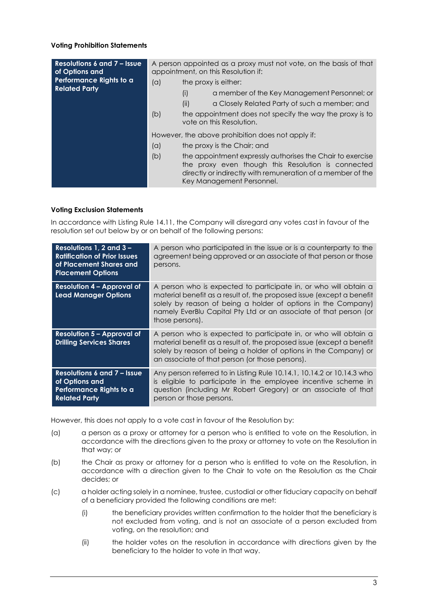#### **Voting Prohibition Statements**

| <b>Resolutions 6 and 7 – Issue</b><br>of Options and | A person appointed as a proxy must not vote, on the basis of that<br>appointment, on this Resolution if: |      |                                                                                                                                                                                                              |
|------------------------------------------------------|----------------------------------------------------------------------------------------------------------|------|--------------------------------------------------------------------------------------------------------------------------------------------------------------------------------------------------------------|
| Performance Rights to a                              | (a)                                                                                                      |      | the proxy is either:                                                                                                                                                                                         |
| <b>Related Party</b>                                 |                                                                                                          | (i)  | a member of the Key Management Personnel; or                                                                                                                                                                 |
|                                                      |                                                                                                          | (ii) | a Closely Related Party of such a member; and                                                                                                                                                                |
|                                                      | (b)                                                                                                      |      | the appointment does not specify the way the proxy is to<br>vote on this Resolution.                                                                                                                         |
|                                                      |                                                                                                          |      | However, the above prohibition does not apply if:                                                                                                                                                            |
|                                                      | (a)                                                                                                      |      | the proxy is the Chair; and                                                                                                                                                                                  |
|                                                      | (b)                                                                                                      |      | the appointment expressly authorises the Chair to exercise<br>the proxy even though this Resolution is connected<br>directly or indirectly with remuneration of a member of the<br>Key Management Personnel. |

#### **Voting Exclusion Statements**

In accordance with Listing Rule 14.11, the Company will disregard any votes cast in favour of the resolution set out below by or on behalf of the following persons:

| Resolutions $1, 2$ and $3 -$<br><b>Ratification of Prior Issues</b><br>of Placement Shares and<br><b>Placement Options</b> | A person who participated in the issue or is a counterparty to the<br>agreement being approved or an associate of that person or those<br>persons.                                                                                                                                                 |
|----------------------------------------------------------------------------------------------------------------------------|----------------------------------------------------------------------------------------------------------------------------------------------------------------------------------------------------------------------------------------------------------------------------------------------------|
| <b>Resolution 4 - Approval of</b><br><b>Lead Manager Options</b>                                                           | A person who is expected to participate in, or who will obtain a<br>material benefit as a result of, the proposed issue (except a benefit<br>solely by reason of being a holder of options in the Company)<br>namely EverBlu Capital Pty Ltd or an associate of that person (or<br>those persons). |
| <b>Resolution 5 - Approval of</b><br><b>Drilling Services Shares</b>                                                       | A person who is expected to participate in, or who will obtain a<br>material benefit as a result of, the proposed issue (except a benefit<br>solely by reason of being a holder of options in the Company) or<br>an associate of that person (or those persons).                                   |
| <b>Resolutions 6 and 7 - Issue</b><br>of Options and<br>Performance Rights to a<br><b>Related Party</b>                    | Any person referred to in Listing Rule 10.14.1, 10.14.2 or 10.14.3 who<br>is eligible to participate in the employee incentive scheme in<br>question (including Mr Robert Gregory) or an associate of that<br>person or those persons.                                                             |

However, this does not apply to a vote cast in favour of the Resolution by:

- (a) a person as a proxy or attorney for a person who is entitled to vote on the Resolution, in accordance with the directions given to the proxy or attorney to vote on the Resolution in that way; or
- (b) the Chair as proxy or attorney for a person who is entitled to vote on the Resolution, in accordance with a direction given to the Chair to vote on the Resolution as the Chair decides; or
- (c) a holder acting solely in a nominee, trustee, custodial or other fiduciary capacity on behalf of a beneficiary provided the following conditions are met:
	- (i) the beneficiary provides written confirmation to the holder that the beneficiary is not excluded from voting, and is not an associate of a person excluded from voting, on the resolution; and
	- (ii) the holder votes on the resolution in accordance with directions given by the beneficiary to the holder to vote in that way.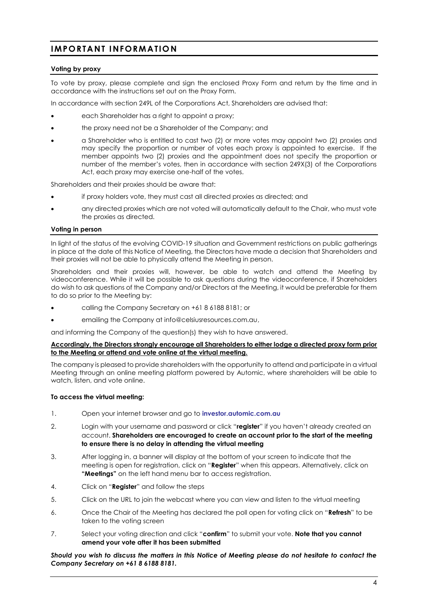## **IMPORTANT INFORMATIO N**

#### **Voting by proxy**

To vote by proxy, please complete and sign the enclosed Proxy Form and return by the time and in accordance with the instructions set out on the Proxy Form.

In accordance with section 249L of the Corporations Act, Shareholders are advised that:

- each Shareholder has a right to appoint a proxy;
- the proxy need not be a Shareholder of the Company; and
- a Shareholder who is entitled to cast two (2) or more votes may appoint two (2) proxies and may specify the proportion or number of votes each proxy is appointed to exercise. If the member appoints two (2) proxies and the appointment does not specify the proportion or number of the member's votes, then in accordance with section 249X(3) of the Corporations Act, each proxy may exercise one-half of the votes.

Shareholders and their proxies should be aware that:

- if proxy holders vote, they must cast all directed proxies as directed; and
- any directed proxies which are not voted will automatically default to the Chair, who must vote the proxies as directed.

#### **Voting in person**

In light of the status of the evolving COVID-19 situation and Government restrictions on public gatherings in place at the date of this Notice of Meeting, the Directors have made a decision that Shareholders and their proxies will not be able to physically attend the Meeting in person.

Shareholders and their proxies will, however, be able to watch and attend the Meeting by videoconference. While it will be possible to ask questions during the videoconference, if Shareholders do wish to ask questions of the Company and/or Directors at the Meeting, it would be preferable for them to do so prior to the Meeting by:

- calling the Company Secretary on +61 8 6188 8181; or
- emailing the Company at info@celsiusresources.com.au,

and informing the Company of the question(s) they wish to have answered.

#### **Accordingly, the Directors strongly encourage all Shareholders to either lodge a directed proxy form prior to the Meeting or attend and vote online at the virtual meeting.**

The company is pleased to provide shareholders with the opportunity to attend and participate in a virtual Meeting through an online meeting platform powered by Automic, where shareholders will be able to watch, listen, and vote online.

#### **To access the virtual meeting:**

- 1. Open your internet browser and go to **[investor.automic.com.au](https://investor.automic.com.au/)**
- 2. Login with your username and password or click "**register**" if you haven't already created an account. **Shareholders are encouraged to create an account prior to the start of the meeting to ensure there is no delay in attending the virtual meeting**
- 3. After logging in, a banner will display at the bottom of your screen to indicate that the meeting is open for registration, click on "**Register**" when this appears. Alternatively, click on **"Meetings"** on the left hand menu bar to access registration.
- 4. Click on "**Register**" and follow the steps
- 5. Click on the URL to join the webcast where you can view and listen to the virtual meeting
- 6. Once the Chair of the Meeting has declared the poll open for voting click on "**Refresh**" to be taken to the voting screen
- 7. Select your voting direction and click "**confirm**" to submit your vote. **Note that you cannot amend your vote after it has been submitted**

#### *Should you wish to discuss the matters in this Notice of Meeting please do not hesitate to contact the Company Secretary on +61 8 6188 8181.*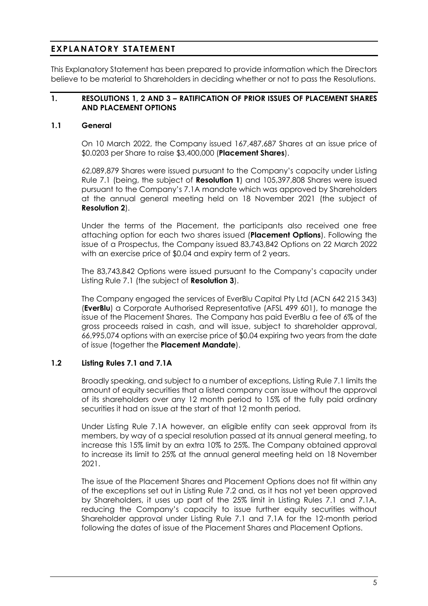## **EXPLANATORY STATEMENT**

This Explanatory Statement has been prepared to provide information which the Directors believe to be material to Shareholders in deciding whether or not to pass the Resolutions.

#### **1. RESOLUTIONS 1, 2 AND 3 – RATIFICATION OF PRIOR ISSUES OF PLACEMENT SHARES AND PLACEMENT OPTIONS**

## **1.1 General**

On 10 March 2022, the Company issued 167,487,687 Shares at an issue price of \$0.0203 per Share to raise \$3,400,000 (**Placement Shares**).

62,089,879 Shares were issued pursuant to the Company's capacity under Listing Rule 7.1 (being, the subject of **Resolution 1**) and 105,397,808 Shares were issued pursuant to the Company's 7.1A mandate which was approved by Shareholders at the annual general meeting held on 18 November 2021 (the subject of **Resolution 2**).

Under the terms of the Placement, the participants also received one free attaching option for each two shares issued (**Placement Options**). Following the issue of a Prospectus, the Company issued 83,743,842 Options on 22 March 2022 with an exercise price of \$0.04 and expiry term of 2 years.

The 83,743,842 Options were issued pursuant to the Company's capacity under Listing Rule 7.1 (the subject of **Resolution 3**).

The Company engaged the services of EverBlu Capital Pty Ltd (ACN 642 215 343) (**EverBlu**) a Corporate Authorised Representative (AFSL 499 601), to manage the issue of the Placement Shares. The Company has paid EverBlu a fee of 6% of the gross proceeds raised in cash, and will issue, subject to shareholder approval, 66,995,074 options with an exercise price of \$0.04 expiring two years from the date of issue (together the **Placement Mandate**).

## **1.2 Listing Rules 7.1 and 7.1A**

Broadly speaking, and subject to a number of exceptions, Listing Rule 7.1 limits the amount of equity securities that a listed company can issue without the approval of its shareholders over any 12 month period to 15% of the fully paid ordinary securities it had on issue at the start of that 12 month period.

Under Listing Rule 7.1A however, an eligible entity can seek approval from its members, by way of a special resolution passed at its annual general meeting, to increase this 15% limit by an extra 10% to 25%. The Company obtained approval to increase its limit to 25% at the annual general meeting held on 18 November 2021.

The issue of the Placement Shares and Placement Options does not fit within any of the exceptions set out in Listing Rule 7.2 and, as it has not yet been approved by Shareholders, it uses up part of the 25% limit in Listing Rules 7.1 and 7.1A, reducing the Company's capacity to issue further equity securities without Shareholder approval under Listing Rule 7.1 and 7.1A for the 12-month period following the dates of issue of the Placement Shares and Placement Options.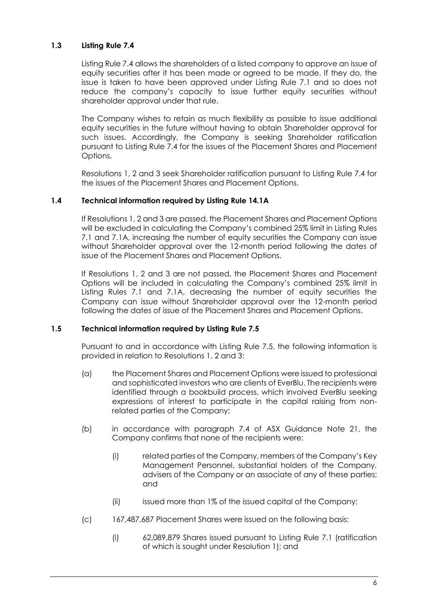## **1.3 Listing Rule 7.4**

Listing Rule 7.4 allows the shareholders of a listed company to approve an issue of equity securities after it has been made or agreed to be made. If they do, the issue is taken to have been approved under Listing Rule 7.1 and so does not reduce the company's capacity to issue further equity securities without shareholder approval under that rule.

The Company wishes to retain as much flexibility as possible to issue additional equity securities in the future without having to obtain Shareholder approval for such issues. Accordingly, the Company is seeking Shareholder ratification pursuant to Listing Rule 7.4 for the issues of the Placement Shares and Placement Options.

Resolutions 1, 2 and 3 seek Shareholder ratification pursuant to Listing Rule 7.4 for the issues of the Placement Shares and Placement Options.

## **1.4 Technical information required by Listing Rule 14.1A**

If Resolutions 1, 2 and 3 are passed, the Placement Shares and Placement Options will be excluded in calculating the Company's combined 25% limit in Listing Rules 7.1 and 7.1A, increasing the number of equity securities the Company can issue without Shareholder approval over the 12-month period following the dates of issue of the Placement Shares and Placement Options.

If Resolutions 1, 2 and 3 are not passed, the Placement Shares and Placement Options will be included in calculating the Company's combined 25% limit in Listing Rules 7.1 and 7.1A, decreasing the number of equity securities the Company can issue without Shareholder approval over the 12-month period following the dates of issue of the Placement Shares and Placement Options.

## **1.5 Technical information required by Listing Rule 7.5**

Pursuant to and in accordance with Listing Rule 7.5, the following information is provided in relation to Resolutions 1, 2 and 3:

- (a) the Placement Shares and Placement Options were issued to professional and sophisticated investors who are clients of EverBlu. The recipients were identified through a bookbuild process, which involved EverBlu seeking expressions of interest to participate in the capital raising from nonrelated parties of the Company;
- (b) in accordance with paragraph 7.4 of ASX Guidance Note 21, the Company confirms that none of the recipients were:
	- (i) related parties of the Company, members of the Company's Key Management Personnel, substantial holders of the Company, advisers of the Company or an associate of any of these parties; and
	- (ii) issued more than 1% of the issued capital of the Company;
- (c) 167,487,687 Placement Shares were issued on the following basis:
	- (i) 62,089,879 Shares issued pursuant to Listing Rule 7.1 (ratification of which is sought under Resolution 1); and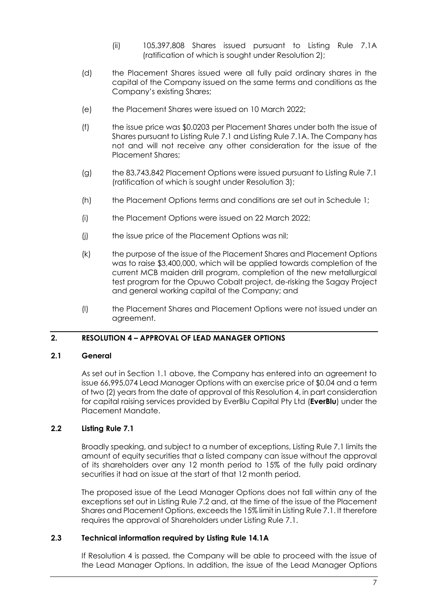- (ii) 105,397,808 Shares issued pursuant to Listing Rule 7.1A (ratification of which is sought under Resolution 2);
- (d) the Placement Shares issued were all fully paid ordinary shares in the capital of the Company issued on the same terms and conditions as the Company's existing Shares;
- (e) the Placement Shares were issued on 10 March 2022;
- (f) the issue price was \$0.0203 per Placement Shares under both the issue of Shares pursuant to Listing Rule 7.1 and Listing Rule 7.1A. The Company has not and will not receive any other consideration for the issue of the Placement Shares;
- (g) the 83,743,842 Placement Options were issued pursuant to Listing Rule 7.1 (ratification of which is sought under Resolution 3);
- (h) the Placement Options terms and conditions are set out in Schedule 1;
- (i) the Placement Options were issued on 22 March 2022;
- (i) the issue price of the Placement Options was nil;
- (k) the purpose of the issue of the Placement Shares and Placement Options was to raise \$3,400,000, which will be applied towards completion of the current MCB maiden drill program, completion of the new metallurgical test program for the Opuwo Cobalt project, de-risking the Sagay Project and general working capital of the Company; and
- (l) the Placement Shares and Placement Options were not issued under an agreement.

## **2. RESOLUTION 4 – APPROVAL OF LEAD MANAGER OPTIONS**

## **2.1 General**

As set out in Section 1.1 above, the Company has entered into an agreement to issue 66,995,074 Lead Manager Options with an exercise price of \$0.04 and a term of two (2) years from the date of approval of this Resolution 4, in part consideration for capital raising services provided by EverBlu Capital Pty Ltd (**EverBlu**) under the Placement Mandate.

## **2.2 Listing Rule 7.1**

Broadly speaking, and subject to a number of exceptions, Listing Rule 7.1 limits the amount of equity securities that a listed company can issue without the approval of its shareholders over any 12 month period to 15% of the fully paid ordinary securities it had on issue at the start of that 12 month period.

The proposed issue of the Lead Manager Options does not fall within any of the exceptions set out in Listing Rule 7.2 and, at the time of the issue of the Placement Shares and Placement Options, exceeds the 15% limit in Listing Rule 7.1. It therefore requires the approval of Shareholders under Listing Rule 7.1.

## **2.3 Technical information required by Listing Rule 14.1A**

If Resolution 4 is passed, the Company will be able to proceed with the issue of the Lead Manager Options. In addition, the issue of the Lead Manager Options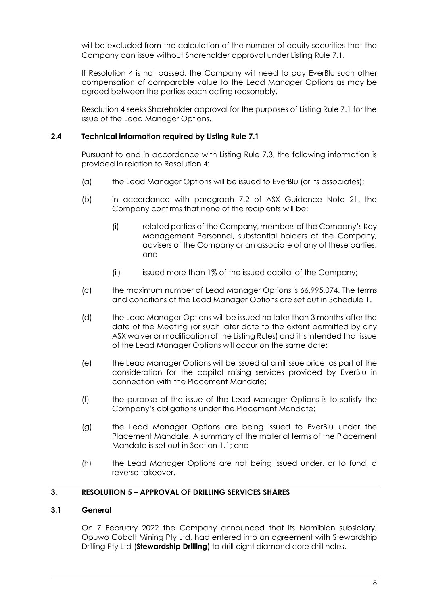will be excluded from the calculation of the number of equity securities that the Company can issue without Shareholder approval under Listing Rule 7.1.

If Resolution 4 is not passed, the Company will need to pay EverBlu such other compensation of comparable value to the Lead Manager Options as may be agreed between the parties each acting reasonably.

Resolution 4 seeks Shareholder approval for the purposes of Listing Rule 7.1 for the issue of the Lead Manager Options.

## **2.4 Technical information required by Listing Rule 7.1**

Pursuant to and in accordance with Listing Rule 7.3, the following information is provided in relation to Resolution 4:

- (a) the Lead Manager Options will be issued to EverBlu (or its associates);
- (b) in accordance with paragraph 7.2 of ASX Guidance Note 21, the Company confirms that none of the recipients will be:
	- (i) related parties of the Company, members of the Company's Key Management Personnel, substantial holders of the Company, advisers of the Company or an associate of any of these parties; and
	- (ii) issued more than 1% of the issued capital of the Company;
- (c) the maximum number of Lead Manager Options is 66,995,074. The terms and conditions of the Lead Manager Options are set out in Schedule 1.
- (d) the Lead Manager Options will be issued no later than 3 months after the date of the Meeting (or such later date to the extent permitted by any ASX waiver or modification of the Listing Rules) and it is intended that issue of the Lead Manager Options will occur on the same date;
- (e) the Lead Manager Options will be issued at a nil issue price, as part of the consideration for the capital raising services provided by EverBlu in connection with the Placement Mandate;
- (f) the purpose of the issue of the Lead Manager Options is to satisfy the Company's obligations under the Placement Mandate;
- (g) the Lead Manager Options are being issued to EverBlu under the Placement Mandate. A summary of the material terms of the Placement Mandate is set out in Section 1.1; and
- (h) the Lead Manager Options are not being issued under, or to fund, a reverse takeover.

## **3. RESOLUTION 5 – APPROVAL OF DRILLING SERVICES SHARES**

## **3.1 General**

On 7 February 2022 the Company announced that its Namibian subsidiary, Opuwo Cobalt Mining Pty Ltd, had entered into an agreement with Stewardship Drilling Pty Ltd (**Stewardship Drilling**) to drill eight diamond core drill holes.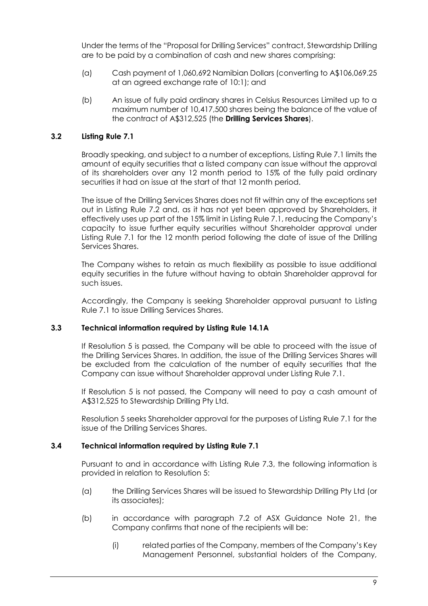Under the terms of the "Proposal for Drilling Services" contract, Stewardship Drilling are to be paid by a combination of cash and new shares comprising:

- (a) Cash payment of 1,060,692 Namibian Dollars (converting to A\$106,069.25 at an agreed exchange rate of 10:1); and
- (b) An issue of fully paid ordinary shares in Celsius Resources Limited up to a maximum number of 10,417,500 shares being the balance of the value of the contract of A\$312,525 (the **Drilling Services Shares**).

## **3.2 Listing Rule 7.1**

Broadly speaking, and subject to a number of exceptions, Listing Rule 7.1 limits the amount of equity securities that a listed company can issue without the approval of its shareholders over any 12 month period to 15% of the fully paid ordinary securities it had on issue at the start of that 12 month period.

The issue of the Drilling Services Shares does not fit within any of the exceptions set out in Listing Rule 7.2 and, as it has not yet been approved by Shareholders, it effectively uses up part of the 15% limit in Listing Rule 7.1, reducing the Company's capacity to issue further equity securities without Shareholder approval under Listing Rule 7.1 for the 12 month period following the date of issue of the Drilling Services Shares.

The Company wishes to retain as much flexibility as possible to issue additional equity securities in the future without having to obtain Shareholder approval for such issues.

Accordingly, the Company is seeking Shareholder approval pursuant to Listing Rule 7.1 to issue Drilling Services Shares.

## **3.3 Technical information required by Listing Rule 14.1A**

If Resolution 5 is passed, the Company will be able to proceed with the issue of the Drilling Services Shares. In addition, the issue of the Drilling Services Shares will be excluded from the calculation of the number of equity securities that the Company can issue without Shareholder approval under Listing Rule 7.1.

If Resolution 5 is not passed, the Company will need to pay a cash amount of A\$312,525 to Stewardship Drilling Pty Ltd.

Resolution 5 seeks Shareholder approval for the purposes of Listing Rule 7.1 for the issue of the Drilling Services Shares.

## **3.4 Technical information required by Listing Rule 7.1**

Pursuant to and in accordance with Listing Rule 7.3, the following information is provided in relation to Resolution 5:

- (a) the Drilling Services Shares will be issued to Stewardship Drilling Pty Ltd (or its associates);
- (b) in accordance with paragraph 7.2 of ASX Guidance Note 21, the Company confirms that none of the recipients will be:
	- (i) related parties of the Company, members of the Company's Key Management Personnel, substantial holders of the Company,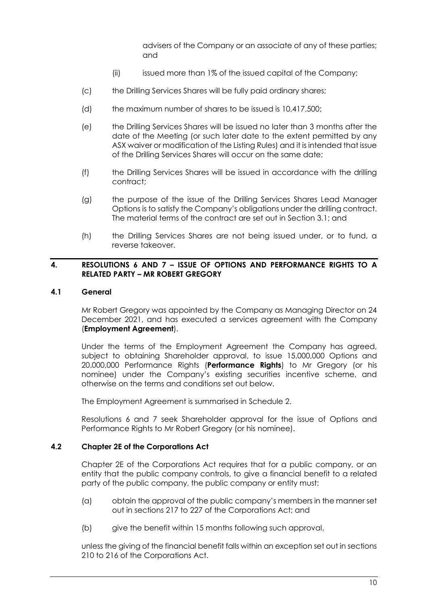advisers of the Company or an associate of any of these parties; and

- (ii) issued more than 1% of the issued capital of the Company;
- (c) the Drilling Services Shares will be fully paid ordinary shares;
- (d) the maximum number of shares to be issued is 10,417,500;
- (e) the Drilling Services Shares will be issued no later than 3 months after the date of the Meeting (or such later date to the extent permitted by any ASX waiver or modification of the Listing Rules) and it is intended that issue of the Drilling Services Shares will occur on the same date;
- (f) the Drilling Services Shares will be issued in accordance with the drilling contract;
- (g) the purpose of the issue of the Drilling Services Shares Lead Manager Options is to satisfy the Company's obligations under the drilling contract. The material terms of the contract are set out in Section 3.1; and
- (h) the Drilling Services Shares are not being issued under, or to fund, a reverse takeover.

## **4. RESOLUTIONS 6 AND 7 – ISSUE OF OPTIONS AND PERFORMANCE RIGHTS TO A RELATED PARTY – MR ROBERT GREGORY**

## **4.1 General**

Mr Robert Gregory was appointed by the Company as Managing Director on 24 December 2021, and has executed a services agreement with the Company (**Employment Agreement**).

Under the terms of the Employment Agreement the Company has agreed, subject to obtaining Shareholder approval, to issue 15,000,000 Options and 20,000,000 Performance Rights (**Performance Rights**) to Mr Gregory (or his nominee) under the Company's existing securities incentive scheme, and otherwise on the terms and conditions set out below.

The Employment Agreement is summarised in Schedule 2.

Resolutions 6 and 7 seek Shareholder approval for the issue of Options and Performance Rights to Mr Robert Gregory (or his nominee).

## **4.2 Chapter 2E of the Corporations Act**

Chapter 2E of the Corporations Act requires that for a public company, or an entity that the public company controls, to give a financial benefit to a related party of the public company, the public company or entity must:

- (a) obtain the approval of the public company's members in the manner set out in sections 217 to 227 of the Corporations Act; and
- (b) give the benefit within 15 months following such approval,

unless the giving of the financial benefit falls within an exception set out in sections 210 to 216 of the Corporations Act.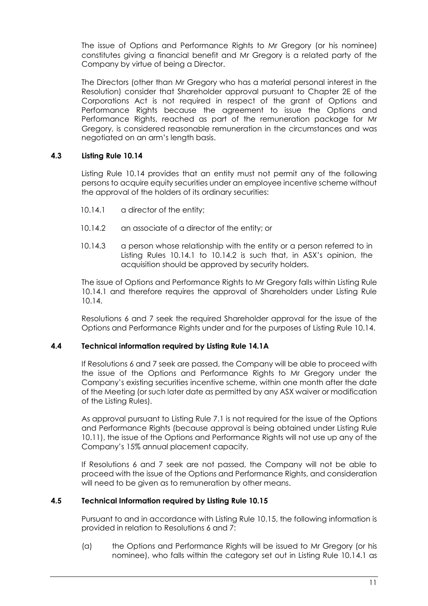The issue of Options and Performance Rights to Mr Gregory (or his nominee) constitutes giving a financial benefit and Mr Gregory is a related party of the Company by virtue of being a Director.

The Directors (other than Mr Gregory who has a material personal interest in the Resolution) consider that Shareholder approval pursuant to Chapter 2E of the Corporations Act is not required in respect of the grant of Options and Performance Rights because the agreement to issue the Options and Performance Rights, reached as part of the remuneration package for Mr Gregory, is considered reasonable remuneration in the circumstances and was negotiated on an arm's length basis.

## **4.3 Listing Rule 10.14**

Listing Rule 10.14 provides that an entity must not permit any of the following persons to acquire equity securities under an employee incentive scheme without the approval of the holders of its ordinary securities:

- 10.14.1 a director of the entity;
- 10.14.2 an associate of a director of the entity; or
- 10.14.3 a person whose relationship with the entity or a person referred to in Listing Rules 10.14.1 to 10.14.2 is such that, in ASX's opinion, the acquisition should be approved by security holders.

The issue of Options and Performance Rights to Mr Gregory falls within Listing Rule 10.14.1 and therefore requires the approval of Shareholders under Listing Rule 10.14.

Resolutions 6 and 7 seek the required Shareholder approval for the issue of the Options and Performance Rights under and for the purposes of Listing Rule 10.14.

## **4.4 Technical information required by Listing Rule 14.1A**

If Resolutions 6 and 7 seek are passed, the Company will be able to proceed with the issue of the Options and Performance Rights to Mr Gregory under the Company's existing securities incentive scheme, within one month after the date of the Meeting (or such later date as permitted by any ASX waiver or modification of the Listing Rules).

As approval pursuant to Listing Rule 7.1 is not required for the issue of the Options and Performance Rights (because approval is being obtained under Listing Rule 10.11), the issue of the Options and Performance Rights will not use up any of the Company's 15% annual placement capacity.

If Resolutions 6 and 7 seek are not passed, the Company will not be able to proceed with the issue of the Options and Performance Rights, and consideration will need to be given as to remuneration by other means.

## **4.5 Technical Information required by Listing Rule 10.15**

Pursuant to and in accordance with Listing Rule 10.15, the following information is provided in relation to Resolutions 6 and 7:

(a) the Options and Performance Rights will be issued to Mr Gregory (or his nominee), who falls within the category set out in Listing Rule 10.14.1 as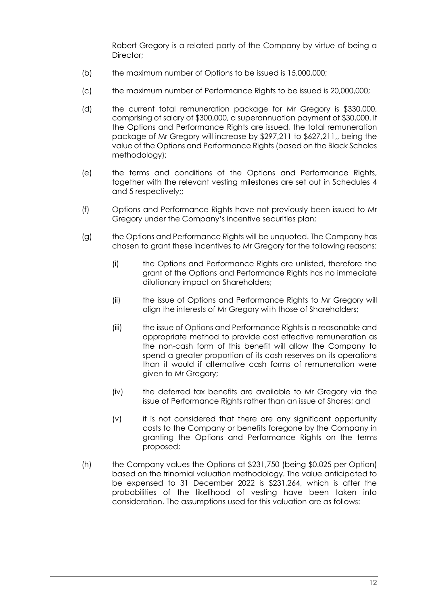Robert Gregory is a related party of the Company by virtue of being a Director:

- (b) the maximum number of Options to be issued is 15,000,000;
- (c) the maximum number of Performance Rights to be issued is 20,000,000;
- (d) the current total remuneration package for Mr Gregory is \$330,000, comprising of salary of \$300,000, a superannuation payment of \$30,000. If the Options and Performance Rights are issued, the total remuneration package of Mr Gregory will increase by \$297,211 to \$627,211,, being the value of the Options and Performance Rights (based on the Black Scholes methodology);
- (e) the terms and conditions of the Options and Performance Rights, together with the relevant vesting milestones are set out in Schedules 4 and 5 respectively;;
- (f) Options and Performance Rights have not previously been issued to Mr Gregory under the Company's incentive securities plan;
- (g) the Options and Performance Rights will be unquoted. The Company has chosen to grant these incentives to Mr Gregory for the following reasons:
	- (i) the Options and Performance Rights are unlisted, therefore the grant of the Options and Performance Rights has no immediate dilutionary impact on Shareholders;
	- (ii) the issue of Options and Performance Rights to Mr Gregory will align the interests of Mr Gregory with those of Shareholders;
	- (iii) the issue of Options and Performance Rights is a reasonable and appropriate method to provide cost effective remuneration as the non-cash form of this benefit will allow the Company to spend a greater proportion of its cash reserves on its operations than it would if alternative cash forms of remuneration were given to Mr Gregory;
	- (iv) the deferred tax benefits are available to Mr Gregory via the issue of Performance Rights rather than an issue of Shares; and
	- (v) it is not considered that there are any significant opportunity costs to the Company or benefits foregone by the Company in granting the Options and Performance Rights on the terms proposed;
- (h) the Company values the Options at \$231,750 (being \$0.025 per Option) based on the trinomial valuation methodology. The value anticipated to be expensed to 31 December 2022 is \$231,264, which is after the probabilities of the likelihood of vesting have been taken into consideration. The assumptions used for this valuation are as follows: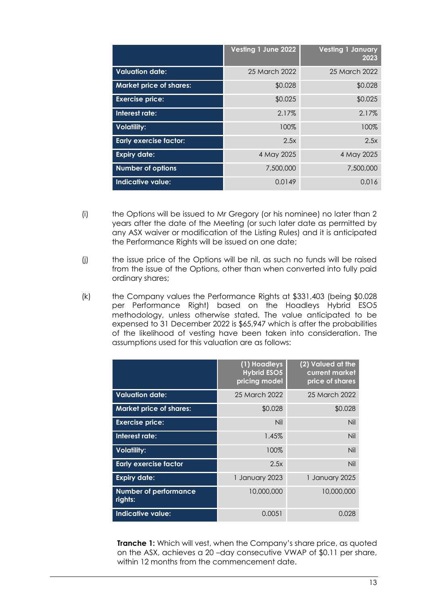|                                | Vesting 1 June 2022 | <b>Vesting 1 January</b><br>2023 |
|--------------------------------|---------------------|----------------------------------|
| <b>Valuation date:</b>         | 25 March 2022       | 25 March 2022                    |
| <b>Market price of shares:</b> | \$0.028             | \$0.028                          |
| <b>Exercise price:</b>         | \$0.025             | \$0.025                          |
| Interest rate:                 | 2.17%               | 2.17%                            |
| <b>Volatility:</b>             | 100%                | 100%                             |
| <b>Early exercise factor:</b>  | 2.5x                | 2.5x                             |
| <b>Expiry date:</b>            | 4 May 2025          | 4 May 2025                       |
| <b>Number of options</b>       | 7,500,000           | 7,500,000                        |
| Indicative value:              | 0.0149              | 0.016                            |

- (i) the Options will be issued to Mr Gregory (or his nominee) no later than 2 years after the date of the Meeting (or such later date as permitted by any ASX waiver or modification of the Listing Rules) and it is anticipated the Performance Rights will be issued on one date;
- (j) the issue price of the Options will be nil, as such no funds will be raised from the issue of the Options, other than when converted into fully paid ordinary shares;
- (k) the Company values the Performance Rights at \$331,403 (being \$0.028 per Performance Right) based on the Hoadleys Hybrid ESO5 methodology, unless otherwise stated. The value anticipated to be expensed to 31 December 2022 is \$65,947 which is after the probabilities of the likelihood of vesting have been taken into consideration. The assumptions used for this valuation are as follows:

|                                         | $\sqrt{(1)}$ Hoadleys<br><b>Hybrid ESO5</b><br>pricing model | (2) Valued at the<br>current market<br>price of shares |
|-----------------------------------------|--------------------------------------------------------------|--------------------------------------------------------|
| <b>Valuation date:</b>                  | 25 March 2022                                                | 25 March 2022                                          |
| <b>Market price of shares:</b>          | \$0.028                                                      | \$0.028                                                |
| <b>Exercise price:</b>                  | Nil                                                          | Nil                                                    |
| Interest rate:                          | 1.45%                                                        | Nil                                                    |
| <b>Volatility:</b>                      | 100%                                                         | Nil                                                    |
| <b>Early exercise factor</b>            | 2.5x                                                         | Nil                                                    |
| <b>Expiry date:</b>                     | 1 January 2023                                               | 1 January 2025                                         |
| <b>Number of performance</b><br>rights: | 10,000,000                                                   | 10,000,000                                             |
| <b>Indicative value:</b>                | 0.0051                                                       | 0.028                                                  |

**Tranche 1:** Which will vest, when the Company's share price, as quoted on the ASX, achieves a 20 –day consecutive VWAP of \$0.11 per share, within 12 months from the commencement date.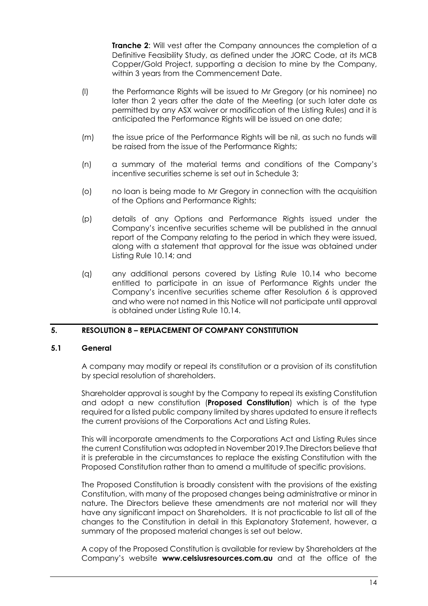**Tranche 2:** Will vest after the Company announces the completion of a Definitive Feasibility Study, as defined under the JORC Code, at its MCB Copper/Gold Project, supporting a decision to mine by the Company, within 3 years from the Commencement Date.

- (l) the Performance Rights will be issued to Mr Gregory (or his nominee) no later than 2 years after the date of the Meeting (or such later date as permitted by any ASX waiver or modification of the Listing Rules) and it is anticipated the Performance Rights will be issued on one date;
- (m) the issue price of the Performance Rights will be nil, as such no funds will be raised from the issue of the Performance Rights;
- (n) a summary of the material terms and conditions of the Company's incentive securities scheme is set out in Schedule 3;
- (o) no loan is being made to Mr Gregory in connection with the acquisition of the Options and Performance Rights;
- (p) details of any Options and Performance Rights issued under the Company's incentive securities scheme will be published in the annual report of the Company relating to the period in which they were issued, along with a statement that approval for the issue was obtained under Listing Rule 10.14; and
- (q) any additional persons covered by Listing Rule 10.14 who become entitled to participate in an issue of Performance Rights under the Company's incentive securities scheme after Resolution 6 is approved and who were not named in this Notice will not participate until approval is obtained under Listing Rule 10.14.

## **5. RESOLUTION 8 – REPLACEMENT OF COMPANY CONSTITUTION**

#### **5.1 General**

A company may modify or repeal its constitution or a provision of its constitution by special resolution of shareholders.

Shareholder approval is sought by the Company to repeal its existing Constitution and adopt a new constitution (**Proposed Constitution**) which is of the type required for a listed public company limited by shares updated to ensure it reflects the current provisions of the Corporations Act and Listing Rules.

This will incorporate amendments to the Corporations Act and Listing Rules since the current Constitution was adopted in November 2019.The Directors believe that it is preferable in the circumstances to replace the existing Constitution with the Proposed Constitution rather than to amend a multitude of specific provisions.

The Proposed Constitution is broadly consistent with the provisions of the existing Constitution, with many of the proposed changes being administrative or minor in nature. The Directors believe these amendments are not material nor will they have any significant impact on Shareholders. It is not practicable to list all of the changes to the Constitution in detail in this Explanatory Statement, however, a summary of the proposed material changes is set out below.

A copy of the Proposed Constitution is available for review by Shareholders at the Company's website **www.celsiusresources.com.au** and at the office of the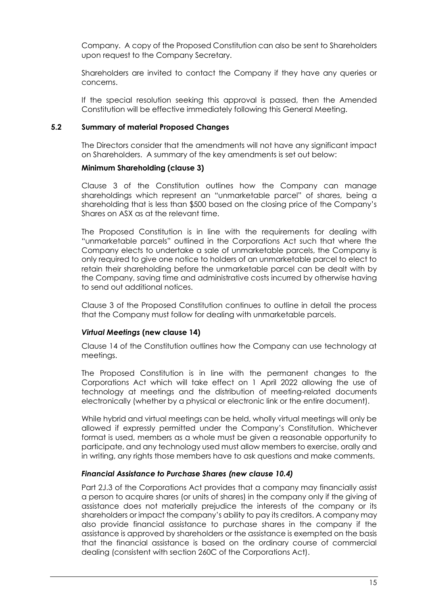Company. A copy of the Proposed Constitution can also be sent to Shareholders upon request to the Company Secretary.

Shareholders are invited to contact the Company if they have any queries or concerns.

If the special resolution seeking this approval is passed, then the Amended Constitution will be effective immediately following this General Meeting.

#### **5.2 Summary of material Proposed Changes**

The Directors consider that the amendments will not have any significant impact on Shareholders. A summary of the key amendments is set out below:

#### **Minimum Shareholding (clause 3)**

Clause 3 of the Constitution outlines how the Company can manage shareholdings which represent an "unmarketable parcel" of shares, being a shareholding that is less than \$500 based on the closing price of the Company's Shares on ASX as at the relevant time.

The Proposed Constitution is in line with the requirements for dealing with "unmarketable parcels" outlined in the Corporations Act such that where the Company elects to undertake a sale of unmarketable parcels, the Company is only required to give one notice to holders of an unmarketable parcel to elect to retain their shareholding before the unmarketable parcel can be dealt with by the Company, saving time and administrative costs incurred by otherwise having to send out additional notices.

Clause 3 of the Proposed Constitution continues to outline in detail the process that the Company must follow for dealing with unmarketable parcels.

## *Virtual Meetings* **(new clause 14)**

Clause 14 of the Constitution outlines how the Company can use technology at meetings.

The Proposed Constitution is in line with the permanent changes to the Corporations Act which will take effect on 1 April 2022 allowing the use of technology at meetings and the distribution of meeting-related documents electronically (whether by a physical or electronic link or the entire document).

While hybrid and virtual meetings can be held, wholly virtual meetings will only be allowed if expressly permitted under the Company's Constitution. Whichever format is used, members as a whole must be given a reasonable opportunity to participate, and any technology used must allow members to exercise, orally and in writing, any rights those members have to ask questions and make comments.

## *Financial Assistance to Purchase Shares (new clause 10.4)*

Part 2J.3 of the Corporations Act provides that a company may financially assist a person to acquire shares (or units of shares) in the company only if the giving of assistance does not materially prejudice the interests of the company or its shareholders or impact the company's ability to pay its creditors. A company may also provide financial assistance to purchase shares in the company if the assistance is approved by shareholders or the assistance is exempted on the basis that the financial assistance is based on the ordinary course of commercial dealing (consistent with section 260C of the Corporations Act).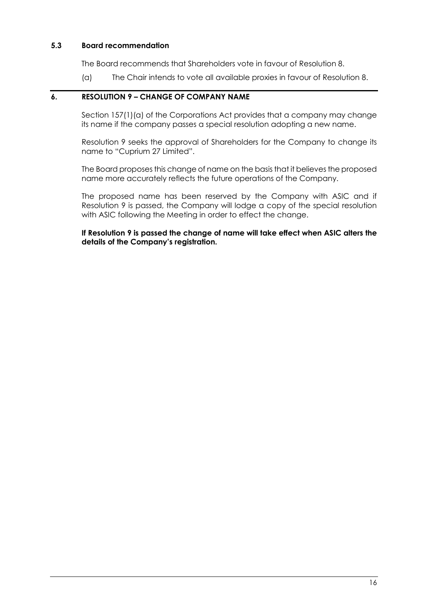## **5.3 Board recommendation**

The Board recommends that Shareholders vote in favour of Resolution 8.

(a) The Chair intends to vote all available proxies in favour of Resolution 8.

## **6. RESOLUTION 9 – CHANGE OF COMPANY NAME**

Section 157(1)(a) of the Corporations Act provides that a company may change its name if the company passes a special resolution adopting a new name.

Resolution 9 seeks the approval of Shareholders for the Company to change its name to "Cuprium 27 Limited".

The Board proposes this change of name on the basis that it believes the proposed name more accurately reflects the future operations of the Company.

The proposed name has been reserved by the Company with ASIC and if Resolution 9 is passed, the Company will lodge a copy of the special resolution with ASIC following the Meeting in order to effect the change.

**If Resolution 9 is passed the change of name will take effect when ASIC alters the details of the Company's registration.**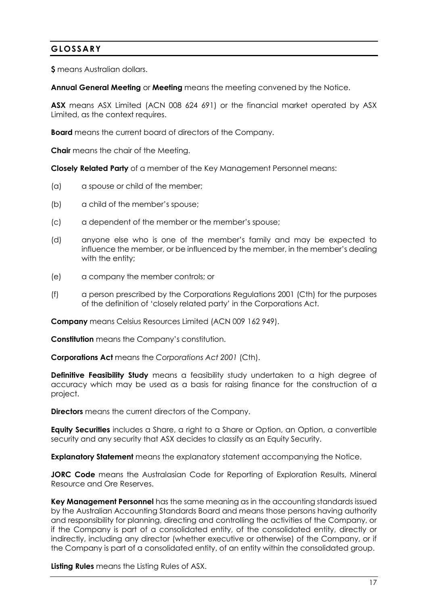## **GLOSSARY**

**\$** means Australian dollars.

**Annual General Meeting** or **Meeting** means the meeting convened by the Notice.

**ASX** means ASX Limited (ACN 008 624 691) or the financial market operated by ASX Limited, as the context requires.

**Board** means the current board of directors of the Company.

**Chair** means the chair of the Meeting.

**Closely Related Party** of a member of the Key Management Personnel means:

- (a) a spouse or child of the member;
- (b) a child of the member's spouse;
- (c) a dependent of the member or the member's spouse;
- (d) anyone else who is one of the member's family and may be expected to influence the member, or be influenced by the member, in the member's dealing with the entity;
- (e) a company the member controls; or
- (f) a person prescribed by the Corporations Regulations 2001 (Cth) for the purposes of the definition of 'closely related party' in the Corporations Act.

**Company** means Celsius Resources Limited (ACN 009 162 949).

**Constitution** means the Company's constitution.

**Corporations Act** means the *Corporations Act 2001* (Cth).

**Definitive Feasibility Study** means a feasibility study undertaken to a high degree of accuracy which may be used as a basis for raising finance for the construction of a project.

**Directors** means the current directors of the Company.

**Equity Securities** includes a Share, a right to a Share or Option, an Option, a convertible security and any security that ASX decides to classify as an Equity Security.

**Explanatory Statement** means the explanatory statement accompanying the Notice.

**JORC Code** means the Australasian Code for Reporting of Exploration Results, Mineral Resource and Ore Reserves.

**Key Management Personnel** has the same meaning as in the accounting standards issued by the Australian Accounting Standards Board and means those persons having authority and responsibility for planning, directing and controlling the activities of the Company, or if the Company is part of a consolidated entity, of the consolidated entity, directly or indirectly, including any director (whether executive or otherwise) of the Company, or if the Company is part of a consolidated entity, of an entity within the consolidated group.

**Listing Rules** means the Listing Rules of ASX.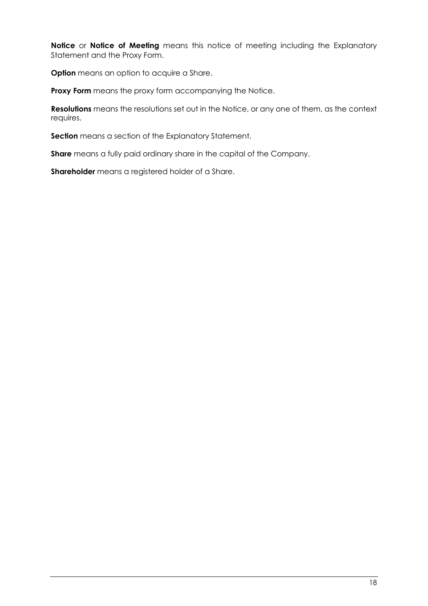**Notice** or **Notice of Meeting** means this notice of meeting including the Explanatory Statement and the Proxy Form.

**Option** means an option to acquire a Share.

**Proxy Form** means the proxy form accompanying the Notice.

**Resolutions** means the resolutions set out in the Notice, or any one of them, as the context requires.

**Section** means a section of the Explanatory Statement.

**Share** means a fully paid ordinary share in the capital of the Company.

**Shareholder** means a registered holder of a Share.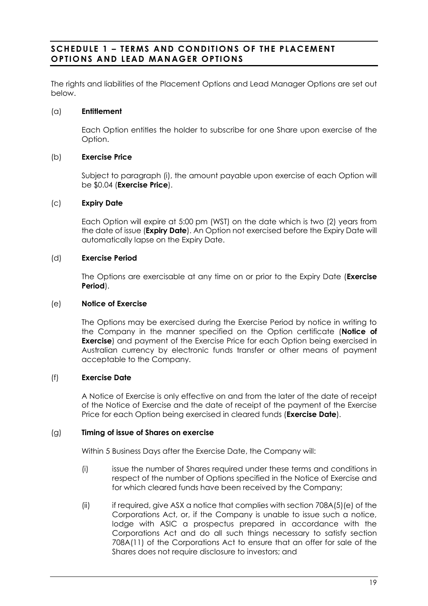## **SCHEDULE 1 – TERMS AND CONDITION S OF THE PLACEMENT OPTIONS AND LEAD MANAGER OPTIONS**

The rights and liabilities of the Placement Options and Lead Manager Options are set out below.

## (a) **Entitlement**

Each Option entitles the holder to subscribe for one Share upon exercise of the Option.

## (b) **Exercise Price**

Subject to paragraph [\(i\),](#page-20-0) the amount payable upon exercise of each Option will be \$0.04 (**Exercise Price**).

## (c) **Expiry Date**

Each Option will expire at 5:00 pm (WST) on the date which is two (2) years from the date of issue (**Expiry Date**). An Option not exercised before the Expiry Date will automatically lapse on the Expiry Date.

## (d) **Exercise Period**

The Options are exercisable at any time on or prior to the Expiry Date (**Exercise Period**).

## (e) **Notice of Exercise**

The Options may be exercised during the Exercise Period by notice in writing to the Company in the manner specified on the Option certificate (**Notice of Exercise**) and payment of the Exercise Price for each Option being exercised in Australian currency by electronic funds transfer or other means of payment acceptable to the Company.

## (f) **Exercise Date**

A Notice of Exercise is only effective on and from the later of the date of receipt of the Notice of Exercise and the date of receipt of the payment of the Exercise Price for each Option being exercised in cleared funds (**Exercise Date**).

## <span id="page-19-0"></span>(g) **Timing of issue of Shares on exercise**

Within 5 Business Days after the Exercise Date, the Company will:

- (i) issue the number of Shares required under these terms and conditions in respect of the number of Options specified in the Notice of Exercise and for which cleared funds have been received by the Company;
- (ii) if required, give ASX a notice that complies with section 708A(5)(e) of the Corporations Act, or, if the Company is unable to issue such a notice, lodge with ASIC a prospectus prepared in accordance with the Corporations Act and do all such things necessary to satisfy section 708A(11) of the Corporations Act to ensure that an offer for sale of the Shares does not require disclosure to investors; and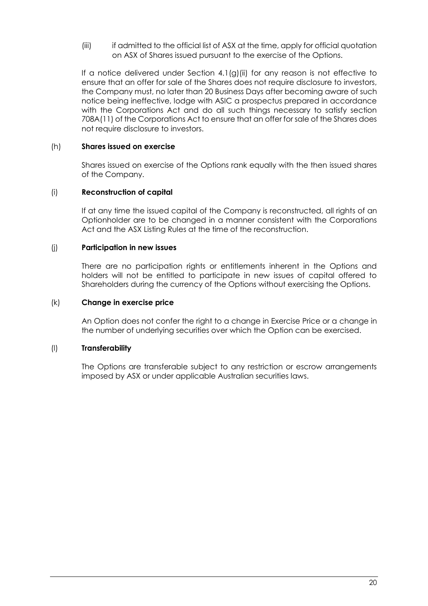(iii) if admitted to the official list of ASX at the time, apply for official quotation on ASX of Shares issued pursuant to the exercise of the Options.

If a notice delivered under Section 4.[1\(g\)\(ii\)](#page-19-0) for any reason is not effective to ensure that an offer for sale of the Shares does not require disclosure to investors, the Company must, no later than 20 Business Days after becoming aware of such notice being ineffective, lodge with ASIC a prospectus prepared in accordance with the Corporations Act and do all such things necessary to satisfy section 708A(11) of the Corporations Act to ensure that an offer for sale of the Shares does not require disclosure to investors.

## (h) **Shares issued on exercise**

Shares issued on exercise of the Options rank equally with the then issued shares of the Company.

## <span id="page-20-0"></span>(i) **Reconstruction of capital**

If at any time the issued capital of the Company is reconstructed, all rights of an Optionholder are to be changed in a manner consistent with the Corporations Act and the ASX Listing Rules at the time of the reconstruction.

## (j) **Participation in new issues**

There are no participation rights or entitlements inherent in the Options and holders will not be entitled to participate in new issues of capital offered to Shareholders during the currency of the Options without exercising the Options.

## (k) **Change in exercise price**

An Option does not confer the right to a change in Exercise Price or a change in the number of underlying securities over which the Option can be exercised.

## (l) **Transferability**

The Options are transferable subject to any restriction or escrow arrangements imposed by ASX or under applicable Australian securities laws.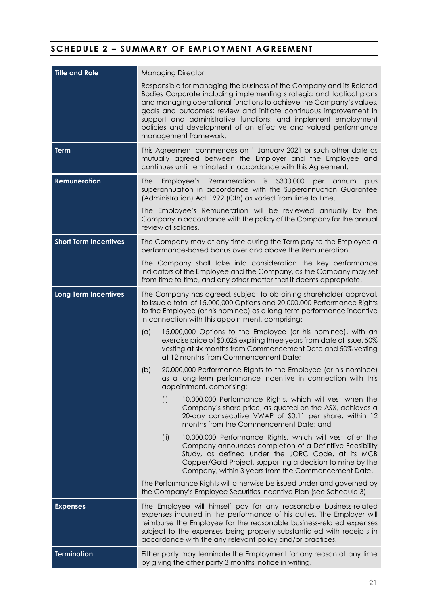## **SCHEDULE 2 – SUMMARY OF EMPLOYMENT AGREEMENT**

| <b>Title and Role</b>        | Managing Director.                                                                                                                                                                                                                                                                                                                                                                                                                                     |
|------------------------------|--------------------------------------------------------------------------------------------------------------------------------------------------------------------------------------------------------------------------------------------------------------------------------------------------------------------------------------------------------------------------------------------------------------------------------------------------------|
|                              | Responsible for managing the business of the Company and its Related<br>Bodies Corporate including implementing strategic and tactical plans<br>and managing operational functions to achieve the Company's values,<br>goals and outcomes; review and initiate continuous improvement in<br>support and administrative functions; and implement employment<br>policies and development of an effective and valued performance<br>management framework. |
| <b>Term</b>                  | This Agreement commences on 1 January 2021 or such other date as<br>mutually agreed between the Employer and the Employee and<br>continues until terminated in accordance with this Agreement.                                                                                                                                                                                                                                                         |
| <b>Remuneration</b>          | Remuneration<br>is<br>\$300,000<br>plus<br><b>The</b><br>Employee's<br>per<br>annum<br>superannuation in accordance with the Superannuation Guarantee<br>(Administration) Act 1992 (Cth) as varied from time to time.                                                                                                                                                                                                                                  |
|                              | The Employee's Remuneration will be reviewed annually by the<br>Company in accordance with the policy of the Company for the annual<br>review of salaries.                                                                                                                                                                                                                                                                                             |
| <b>Short Term Incentives</b> | The Company may at any time during the Term pay to the Employee a<br>performance-based bonus over and above the Remuneration.                                                                                                                                                                                                                                                                                                                          |
|                              | The Company shall take into consideration the key performance<br>indicators of the Employee and the Company, as the Company may set<br>from time to time, and any other matter that it deems appropriate.                                                                                                                                                                                                                                              |
| <b>Long Term Incentives</b>  | The Company has agreed, subject to obtaining shareholder approval,<br>to issue a total of 15,000,000 Options and 20,000,000 Performance Rights<br>to the Employee (or his nominee) as a long-term performance incentive<br>in connection with this appointment, comprising:                                                                                                                                                                            |
|                              | (a)<br>15,000,000 Options to the Employee (or his nominee), with an<br>exercise price of \$0.025 expiring three years from date of issue, 50%<br>vesting at six months from Commencement Date and 50% vesting<br>at 12 months from Commencement Date;                                                                                                                                                                                                  |
|                              | 20,000,000 Performance Rights to the Employee (or his nominee)<br>(b)<br>as a long-term performance incentive in connection with this<br>appointment, comprising;                                                                                                                                                                                                                                                                                      |
|                              | (i)<br>10,000,000 Performance Rights, which will vest when the<br>Company's share price, as quoted on the ASX, achieves a<br>20-day consecutive VWAP of \$0.11 per share, within 12<br>months from the Commencement Date; and                                                                                                                                                                                                                          |
|                              | (ii)<br>10,000,000 Performance Rights, which will vest after the<br>Company announces completion of a Definitive Feasibility<br>Study, as defined under the JORC Code, at its MCB<br>Copper/Gold Project, supporting a decision to mine by the<br>Company, within 3 years from the Commencement Date.                                                                                                                                                  |
|                              | The Performance Rights will otherwise be issued under and governed by<br>the Company's Employee Securities Incentive Plan (see Schedule 3).                                                                                                                                                                                                                                                                                                            |
| <b>Expenses</b>              | The Employee will himself pay for any reasonable business-related<br>expenses incurred in the performance of his duties. The Employer will<br>reimburse the Employee for the reasonable business-related expenses<br>subject to the expenses being properly substantiated with receipts in<br>accordance with the any relevant policy and/or practices.                                                                                                |
| <b>Termination</b>           | Either party may terminate the Employment for any reason at any time<br>by giving the other party 3 months' notice in writing.                                                                                                                                                                                                                                                                                                                         |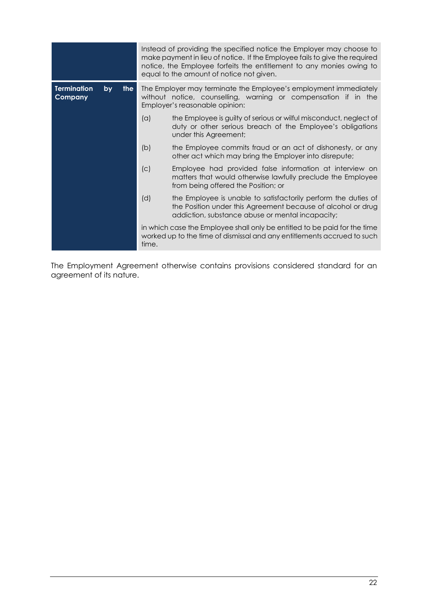|                               |    |       |                                                                                                                                                                      | Instead of providing the specified notice the Employer may choose to<br>make payment in lieu of notice. If the Employee fails to give the required<br>notice, the Employee forfeits the entitlement to any monies owing to<br>equal to the amount of notice not given. |
|-------------------------------|----|-------|----------------------------------------------------------------------------------------------------------------------------------------------------------------------|------------------------------------------------------------------------------------------------------------------------------------------------------------------------------------------------------------------------------------------------------------------------|
| <b>Termination</b><br>Company | by | the l | The Employer may terminate the Employee's employment immediately<br>without notice, counselling, warning or compensation if in the<br>Employer's reasonable opinion: |                                                                                                                                                                                                                                                                        |
|                               |    |       | (a)                                                                                                                                                                  | the Employee is guilty of serious or wilful misconduct, neglect of<br>duty or other serious breach of the Employee's obligations<br>under this Agreement;                                                                                                              |
|                               |    |       | (b)                                                                                                                                                                  | the Employee commits fraud or an act of dishonesty, or any<br>other act which may bring the Employer into disrepute;                                                                                                                                                   |
|                               |    |       | (c)                                                                                                                                                                  | Employee had provided false information at interview on<br>matters that would otherwise lawfully preclude the Employee<br>from being offered the Position; or                                                                                                          |
|                               |    |       | (d)                                                                                                                                                                  | the Employee is unable to satisfactorily perform the duties of<br>the Position under this Agreement because of alcohol or drug<br>addiction, substance abuse or mental incapacity;                                                                                     |
|                               |    |       | time.                                                                                                                                                                | in which case the Employee shall only be entitled to be paid for the time<br>worked up to the time of dismissal and any entitlements accrued to such                                                                                                                   |

The Employment Agreement otherwise contains provisions considered standard for an agreement of its nature.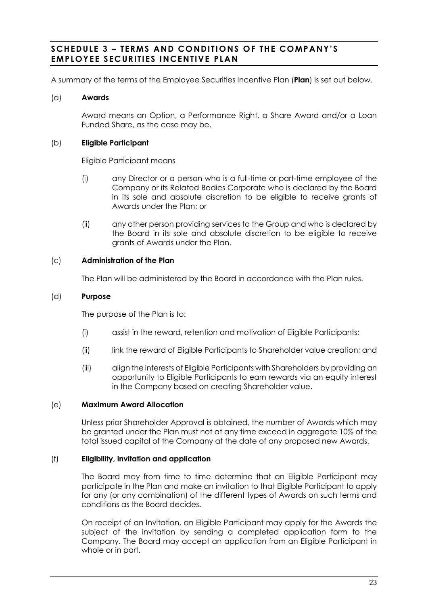## **SCHEDULE 3 – TERMS AND CONDITI ONS OF THE COMPANY'S EMPLOYEE SECURITIES INCENTIVE PLAN**

A summary of the terms of the Employee Securities Incentive Plan (**Plan**) is set out below.

## (a) **Awards**

Award means an Option, a Performance Right, a Share Award and/or a Loan Funded Share, as the case may be.

## (b) **Eligible Participant**

Eligible Participant means

- (i) any Director or a person who is a full-time or part-time employee of the Company or its Related Bodies Corporate who is declared by the Board in its sole and absolute discretion to be eligible to receive grants of Awards under the Plan; or
- (ii) any other person providing services to the Group and who is declared by the Board in its sole and absolute discretion to be eligible to receive grants of Awards under the Plan.

## (c) **Administration of the Plan**

The Plan will be administered by the Board in accordance with the Plan rules.

## (d) **Purpose**

The purpose of the Plan is to:

- (i) assist in the reward, retention and motivation of Eligible Participants;
- (ii) link the reward of Eligible Participants to Shareholder value creation; and
- (iii) align the interests of Eligible Participants with Shareholders by providing an opportunity to Eligible Participants to earn rewards via an equity interest in the Company based on creating Shareholder value.

## (e) **Maximum Award Allocation**

Unless prior Shareholder Approval is obtained, the number of Awards which may be granted under the Plan must not at any time exceed in aggregate 10% of the total issued capital of the Company at the date of any proposed new Awards.

## (f) **Eligibility, invitation and application**

The Board may from time to time determine that an Eligible Participant may participate in the Plan and make an invitation to that Eligible Participant to apply for any (or any combination) of the different types of Awards on such terms and conditions as the Board decides.

On receipt of an Invitation, an Eligible Participant may apply for the Awards the subject of the invitation by sending a completed application form to the Company. The Board may accept an application from an Eligible Participant in whole or in part.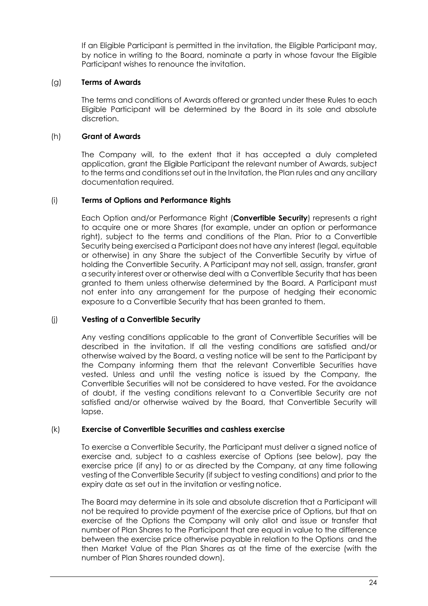If an Eligible Participant is permitted in the invitation, the Eligible Participant may, by notice in writing to the Board, nominate a party in whose favour the Eligible Participant wishes to renounce the invitation.

## (g) **Terms of Awards**

The terms and conditions of Awards offered or granted under these Rules to each Eligible Participant will be determined by the Board in its sole and absolute discretion.

## (h) **Grant of Awards**

The Company will, to the extent that it has accepted a duly completed application, grant the Eligible Participant the relevant number of Awards, subject to the terms and conditions set out in the Invitation, the Plan rules and any ancillary documentation required.

## (i) **Terms of Options and Performance Rights**

Each Option and/or Performance Right (**Convertible Security**) represents a right to acquire one or more Shares (for example, under an option or performance right), subject to the terms and conditions of the Plan. Prior to a Convertible Security being exercised a Participant does not have any interest (legal, equitable or otherwise) in any Share the subject of the Convertible Security by virtue of holding the Convertible Security. A Participant may not sell, assign, transfer, arant a security interest over or otherwise deal with a Convertible Security that has been granted to them unless otherwise determined by the Board. A Participant must not enter into any arrangement for the purpose of hedging their economic exposure to a Convertible Security that has been granted to them.

## (j) **Vesting of a Convertible Security**

Any vesting conditions applicable to the grant of Convertible Securities will be described in the invitation. If all the vesting conditions are satisfied and/or otherwise waived by the Board, a vesting notice will be sent to the Participant by the Company informing them that the relevant Convertible Securities have vested. Unless and until the vesting notice is issued by the Company, the Convertible Securities will not be considered to have vested. For the avoidance of doubt, if the vesting conditions relevant to a Convertible Security are not satisfied and/or otherwise waived by the Board, that Convertible Security will lapse.

## (k) **Exercise of Convertible Securities and cashless exercise**

To exercise a Convertible Security, the Participant must deliver a signed notice of exercise and, subject to a cashless exercise of Options (see below), pay the exercise price (if any) to or as directed by the Company, at any time following vesting of the Convertible Security (if subject to vesting conditions) and prior to the expiry date as set out in the invitation or vesting notice.

The Board may determine in its sole and absolute discretion that a Participant will not be required to provide payment of the exercise price of Options, but that on exercise of the Options the Company will only allot and issue or transfer that number of Plan Shares to the Participant that are equal in value to the difference between the exercise price otherwise payable in relation to the Options and the then Market Value of the Plan Shares as at the time of the exercise (with the number of Plan Shares rounded down).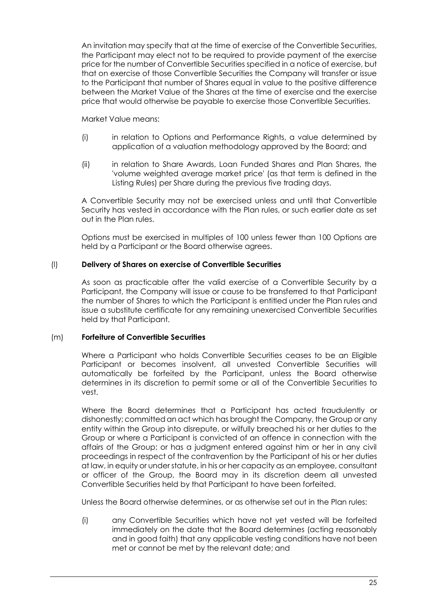An invitation may specify that at the time of exercise of the Convertible Securities, the Participant may elect not to be required to provide payment of the exercise price for the number of Convertible Securities specified in a notice of exercise, but that on exercise of those Convertible Securities the Company will transfer or issue to the Participant that number of Shares equal in value to the positive difference between the Market Value of the Shares at the time of exercise and the exercise price that would otherwise be payable to exercise those Convertible Securities.

Market Value means:

- (i) in relation to Options and Performance Rights, a value determined by application of a valuation methodology approved by the Board; and
- (ii) in relation to Share Awards, Loan Funded Shares and Plan Shares, the 'volume weighted average market price' (as that term is defined in the Listing Rules) per Share during the previous five trading days.

A Convertible Security may not be exercised unless and until that Convertible Security has vested in accordance with the Plan rules, or such earlier date as set out in the Plan rules.

Options must be exercised in multiples of 100 unless fewer than 100 Options are held by a Participant or the Board otherwise agrees.

## (l) **Delivery of Shares on exercise of Convertible Securities**

As soon as practicable after the valid exercise of a Convertible Security by a Participant, the Company will issue or cause to be transferred to that Participant the number of Shares to which the Participant is entitled under the Plan rules and issue a substitute certificate for any remaining unexercised Convertible Securities held by that Participant.

## (m) **Forfeiture of Convertible Securities**

Where a Participant who holds Convertible Securities ceases to be an Eligible Participant or becomes insolvent, all unvested Convertible Securities will automatically be forfeited by the Participant, unless the Board otherwise determines in its discretion to permit some or all of the Convertible Securities to vest.

Where the Board determines that a Participant has acted fraudulently or dishonestly; committed an act which has brought the Company, the Group or any entity within the Group into disrepute, or wilfully breached his or her duties to the Group or where a Participant is convicted of an offence in connection with the affairs of the Group; or has a judgment entered against him or her in any civil proceedings in respect of the contravention by the Participant of his or her duties at law, in equity or under statute, in his or her capacity as an employee, consultant or officer of the Group, the Board may in its discretion deem all unvested Convertible Securities held by that Participant to have been forfeited.

Unless the Board otherwise determines, or as otherwise set out in the Plan rules:

(i) any Convertible Securities which have not yet vested will be forfeited immediately on the date that the Board determines (acting reasonably and in good faith) that any applicable vesting conditions have not been met or cannot be met by the relevant date; and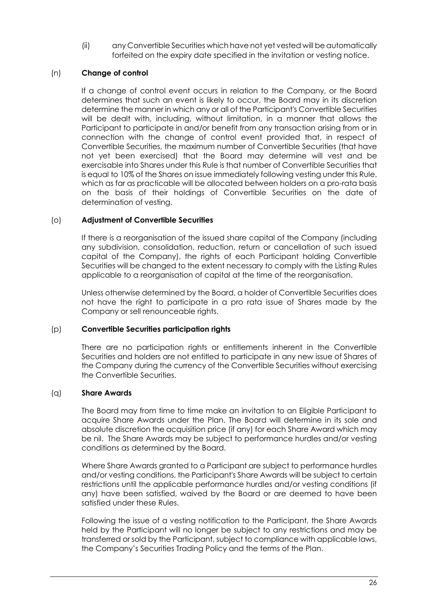(ii) any Convertible Securities which have not yet vested will be automatically forfeited on the expiry date specified in the invitation or vesting notice.

## (n) **Change of control**

If a change of control event occurs in relation to the Company, or the Board determines that such an event is likely to occur, the Board may in its discretion determine the manner in which any or all of the Participant's Convertible Securities will be dealt with, including, without limitation, in a manner that allows the Participant to participate in and/or benefit from any transaction arising from or in connection with the change of control event provided that, in respect of Convertible Securities, the maximum number of Convertible Securities (that have not yet been exercised) that the Board may determine will vest and be exercisable into Shares under this Rule is that number of Convertible Securities that is equal to 10% of the Shares on issue immediately following vesting under this Rule, which as far as practicable will be allocated between holders on a pro-rata basis on the basis of their holdings of Convertible Securities on the date of determination of vesting.

## (o) **Adjustment of Convertible Securities**

If there is a reorganisation of the issued share capital of the Company (including any subdivision, consolidation, reduction, return or cancellation of such issued capital of the Company), the rights of each Participant holding Convertible Securities will be changed to the extent necessary to comply with the Listing Rules applicable to a reorganisation of capital at the time of the reorganisation.

Unless otherwise determined by the Board, a holder of Convertible Securities does not have the right to participate in a pro rata issue of Shares made by the Company or sell renounceable rights.

## (p) **Convertible Securities participation rights**

There are no participation rights or entitlements inherent in the Convertible Securities and holders are not entitled to participate in any new issue of Shares of the Company during the currency of the Convertible Securities without exercising the Convertible Securities.

## (q) **Share Awards**

The Board may from time to time make an invitation to an Eligible Participant to acquire Share Awards under the Plan. The Board will determine in its sole and absolute discretion the acquisition price (if any) for each Share Award which may be nil. The Share Awards may be subject to performance hurdles and/or vesting conditions as determined by the Board.

Where Share Awards granted to a Participant are subject to performance hurdles and/or vesting conditions, the Participant's Share Awards will be subject to certain restrictions until the applicable performance hurdles and/or vesting conditions (if any) have been satisfied, waived by the Board or are deemed to have been satisfied under these Rules.

Following the issue of a vesting notification to the Participant, the Share Awards held by the Participant will no longer be subject to any restrictions and may be transferred or sold by the Participant, subject to compliance with applicable laws, the Company's Securities Trading Policy and the terms of the Plan.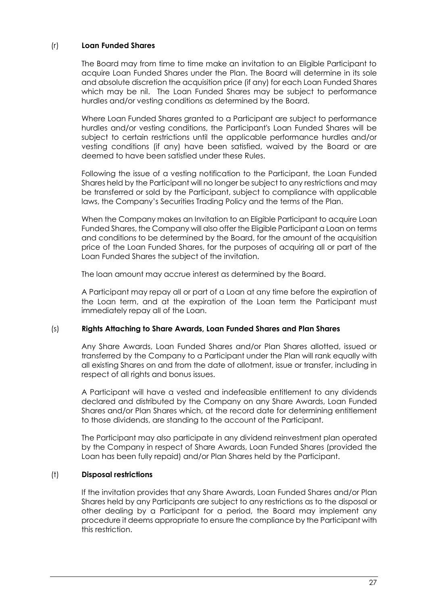## (r) **Loan Funded Shares**

The Board may from time to time make an invitation to an Eligible Participant to acquire Loan Funded Shares under the Plan. The Board will determine in its sole and absolute discretion the acquisition price (if any) for each Loan Funded Shares which may be nil. The Loan Funded Shares may be subject to performance hurdles and/or vesting conditions as determined by the Board.

Where Loan Funded Shares granted to a Participant are subject to performance hurdles and/or vesting conditions, the Participant's Loan Funded Shares will be subject to certain restrictions until the applicable performance hurdles and/or vesting conditions (if any) have been satisfied, waived by the Board or are deemed to have been satisfied under these Rules.

Following the issue of a vesting notification to the Participant, the Loan Funded Shares held by the Participant will no longer be subject to any restrictions and may be transferred or sold by the Participant, subject to compliance with applicable laws, the Company's Securities Trading Policy and the terms of the Plan.

When the Company makes an Invitation to an Eligible Participant to acquire Loan Funded Shares, the Company will also offer the Eligible Participant a Loan on terms and conditions to be determined by the Board, for the amount of the acquisition price of the Loan Funded Shares, for the purposes of acquiring all or part of the Loan Funded Shares the subject of the invitation.

The loan amount may accrue interest as determined by the Board.

A Participant may repay all or part of a Loan at any time before the expiration of the Loan term, and at the expiration of the Loan term the Participant must immediately repay all of the Loan.

## (s) **Rights Attaching to Share Awards, Loan Funded Shares and Plan Shares**

Any Share Awards, Loan Funded Shares and/or Plan Shares allotted, issued or transferred by the Company to a Participant under the Plan will rank equally with all existing Shares on and from the date of allotment, issue or transfer, including in respect of all rights and bonus issues.

A Participant will have a vested and indefeasible entitlement to any dividends declared and distributed by the Company on any Share Awards, Loan Funded Shares and/or Plan Shares which, at the record date for determining entitlement to those dividends, are standing to the account of the Participant.

The Participant may also participate in any dividend reinvestment plan operated by the Company in respect of Share Awards, Loan Funded Shares (provided the Loan has been fully repaid) and/or Plan Shares held by the Participant.

## (t) **Disposal restrictions**

If the invitation provides that any Share Awards, Loan Funded Shares and/or Plan Shares held by any Participants are subject to any restrictions as to the disposal or other dealing by a Participant for a period, the Board may implement any procedure it deems appropriate to ensure the compliance by the Participant with this restriction.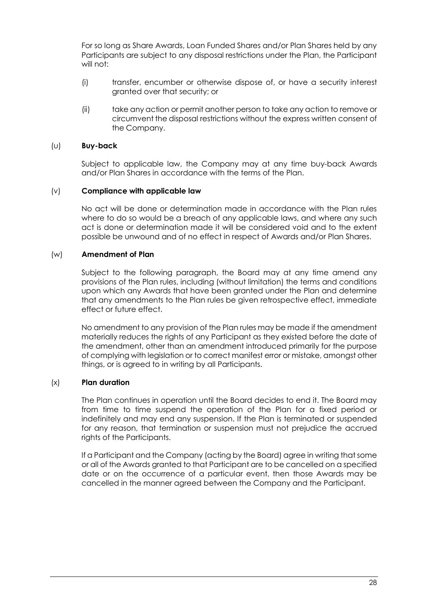For so long as Share Awards, Loan Funded Shares and/or Plan Shares held by any Participants are subject to any disposal restrictions under the Plan, the Participant will not:

- (i) transfer, encumber or otherwise dispose of, or have a security interest granted over that security; or
- (ii) take any action or permit another person to take any action to remove or circumvent the disposal restrictions without the express written consent of the Company.

#### (u) **Buy-back**

Subject to applicable law, the Company may at any time buy-back Awards and/or Plan Shares in accordance with the terms of the Plan.

#### (v) **Compliance with applicable law**

No act will be done or determination made in accordance with the Plan rules where to do so would be a breach of any applicable laws, and where any such act is done or determination made it will be considered void and to the extent possible be unwound and of no effect in respect of Awards and/or Plan Shares.

#### (w) **Amendment of Plan**

Subject to the following paragraph, the Board may at any time amend any provisions of the Plan rules, including (without limitation) the terms and conditions upon which any Awards that have been granted under the Plan and determine that any amendments to the Plan rules be given retrospective effect, immediate effect or future effect.

No amendment to any provision of the Plan rules may be made if the amendment materially reduces the rights of any Participant as they existed before the date of the amendment, other than an amendment introduced primarily for the purpose of complying with legislation or to correct manifest error or mistake, amongst other things, or is agreed to in writing by all Participants.

## (x) **Plan duration**

The Plan continues in operation until the Board decides to end it. The Board may from time to time suspend the operation of the Plan for a fixed period or indefinitely and may end any suspension. If the Plan is terminated or suspended for any reason, that termination or suspension must not prejudice the accrued rights of the Participants.

If a Participant and the Company (acting by the Board) agree in writing that some or all of the Awards granted to that Participant are to be cancelled on a specified date or on the occurrence of a particular event, then those Awards may be cancelled in the manner agreed between the Company and the Participant.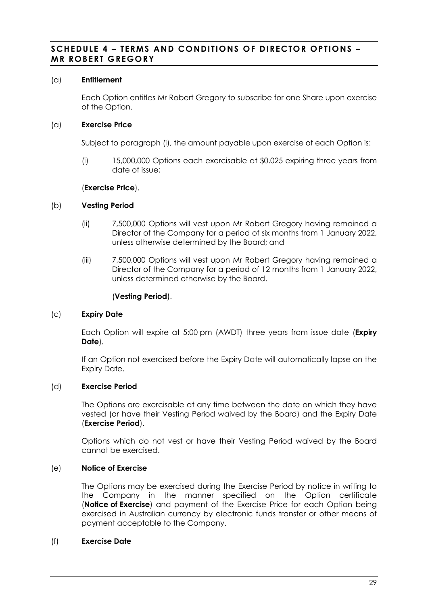## **SCHEDULE 4 – TERMS AND CONDITIONS OF DIRECTOR OPTIONS – MR ROBERT GREGORY**

## (a) **Entitlement**

Each Option entitles Mr Robert Gregory to subscribe for one Share upon exercise of the Option.

## (a) **Exercise Price**

Subject to paragraph [\(i\),](#page-20-0) the amount payable upon exercise of each Option is:

(i) 15,000,000 Options each exercisable at \$0.025 expiring three years from date of issue;

## (**Exercise Price**).

## (b) **Vesting Period**

- (ii) 7,500,000 Options will vest upon Mr Robert Gregory having remained a Director of the Company for a period of six months from 1 January 2022, unless otherwise determined by the Board; and
- (iii) 7,500,000 Options will vest upon Mr Robert Gregory having remained a Director of the Company for a period of 12 months from 1 January 2022, unless determined otherwise by the Board.

## (**Vesting Period**).

## (c) **Expiry Date**

Each Option will expire at 5:00 pm (AWDT) three years from issue date (**Expiry Date**).

If an Option not exercised before the Expiry Date will automatically lapse on the Expiry Date.

## (d) **Exercise Period**

The Options are exercisable at any time between the date on which they have vested (or have their Vesting Period waived by the Board) and the Expiry Date (**Exercise Period**).

Options which do not vest or have their Vesting Period waived by the Board cannot be exercised.

## (e) **Notice of Exercise**

The Options may be exercised during the Exercise Period by notice in writing to the Company in the manner specified on the Option certificate (**Notice of Exercise**) and payment of the Exercise Price for each Option being exercised in Australian currency by electronic funds transfer or other means of payment acceptable to the Company.

## (f) **Exercise Date**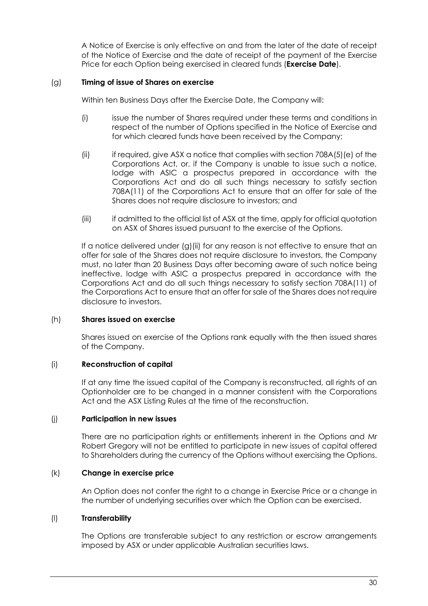A Notice of Exercise is only effective on and from the later of the date of receipt of the Notice of Exercise and the date of receipt of the payment of the Exercise Price for each Option being exercised in cleared funds (**Exercise Date**).

## (g) **Timing of issue of Shares on exercise**

Within ten Business Days after the Exercise Date, the Company will:

- (i) issue the number of Shares required under these terms and conditions in respect of the number of Options specified in the Notice of Exercise and for which cleared funds have been received by the Company;
- (ii) if required, give ASX a notice that complies with section 708A(5)(e) of the Corporations Act, or, if the Company is unable to issue such a notice, lodge with ASIC a prospectus prepared in accordance with the Corporations Act and do all such things necessary to satisfy section 708A(11) of the Corporations Act to ensure that an offer for sale of the Shares does not require disclosure to investors; and
- (iii) if admitted to the official list of ASX at the time, apply for official quotation on ASX of Shares issued pursuant to the exercise of the Options.

If a notice delivered under [\(g\)\(ii\)](#page-19-0) for any reason is not effective to ensure that an offer for sale of the Shares does not require disclosure to investors, the Company must, no later than 20 Business Days after becoming aware of such notice being ineffective, lodge with ASIC a prospectus prepared in accordance with the Corporations Act and do all such things necessary to satisfy section 708A(11) of the Corporations Act to ensure that an offer for sale of the Shares does not require disclosure to investors.

## (h) **Shares issued on exercise**

Shares issued on exercise of the Options rank equally with the then issued shares of the Company.

## (i) **Reconstruction of capital**

If at any time the issued capital of the Company is reconstructed, all rights of an Optionholder are to be changed in a manner consistent with the Corporations Act and the ASX Listing Rules at the time of the reconstruction.

## (j) **Participation in new issues**

There are no participation rights or entitlements inherent in the Options and Mr Robert Gregory will not be entitled to participate in new issues of capital offered to Shareholders during the currency of the Options without exercising the Options.

## (k) **Change in exercise price**

An Option does not confer the right to a change in Exercise Price or a change in the number of underlying securities over which the Option can be exercised.

## (l) **Transferability**

The Options are transferable subject to any restriction or escrow arrangements imposed by ASX or under applicable Australian securities laws.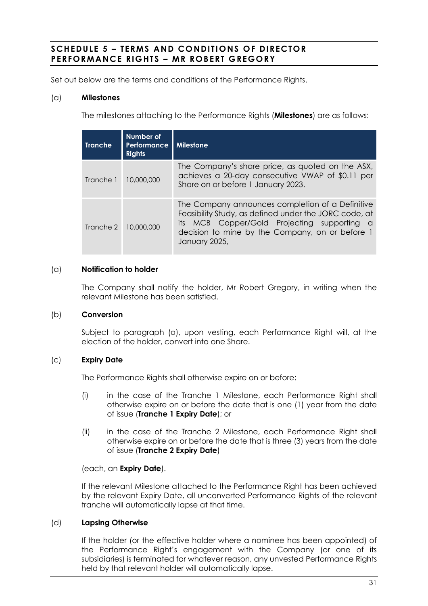## **SCHEDULE 5 – TERMS AND CONDITI ONS OF DIRECTOR PERFORMANCE RIGHTS – MR ROBERT GREGORY**

Set out below are the terms and conditions of the Performance Rights.

## (a) **Milestones**

The milestones attaching to the Performance Rights (**Milestones**) are as follows:

| <b>Tranche</b> | Number of<br><b>Performance</b><br><b>Rights</b> | <b>I</b> Milestone                                                                                                                                                                                                                     |
|----------------|--------------------------------------------------|----------------------------------------------------------------------------------------------------------------------------------------------------------------------------------------------------------------------------------------|
| Tranche 1      | 10,000,000                                       | The Company's share price, as quoted on the ASX,<br>achieves a 20-day consecutive VWAP of \$0.11 per<br>Share on or before 1 January 2023.                                                                                             |
| Tranche 2      | 10,000,000                                       | The Company announces completion of a Definitive<br>Feasibility Study, as defined under the JORC code, at<br>its MCB Copper/Gold Projecting supporting<br><b>a</b><br>decision to mine by the Company, on or before 1<br>January 2025, |

## (a) **Notification to holder**

The Company shall notify the holder, Mr Robert Gregory, in writing when the relevant Milestone has been satisfied.

## (b) **Conversion**

Subject to paragraph [\(o\),](#page-33-0) upon vesting, each Performance Right will, at the election of the holder, convert into one Share.

## (c) **Expiry Date**

The Performance Rights shall otherwise expire on or before:

- (i) in the case of the Tranche 1 Milestone, each Performance Right shall otherwise expire on or before the date that is one (1) year from the date of issue (**Tranche 1 Expiry Date**); or
- (ii) in the case of the Tranche 2 Milestone, each Performance Right shall otherwise expire on or before the date that is three (3) years from the date of issue (**Tranche 2 Expiry Date**)

## (each, an **Expiry Date**).

If the relevant Milestone attached to the Performance Right has been achieved by the relevant Expiry Date, all unconverted Performance Rights of the relevant tranche will automatically lapse at that time.

## (d) **Lapsing Otherwise**

If the holder (or the effective holder where a nominee has been appointed) of the Performance Right's engagement with the Company (or one of its subsidiaries) is terminated for whatever reason, any unvested Performance Rights held by that relevant holder will automatically lapse.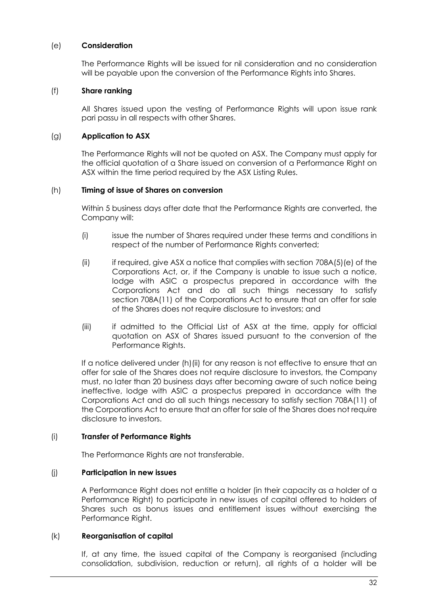## (e) **Consideration**

The Performance Rights will be issued for nil consideration and no consideration will be payable upon the conversion of the Performance Rights into Shares.

## (f) **Share ranking**

All Shares issued upon the vesting of Performance Rights will upon issue rank pari passu in all respects with other Shares.

## (g) **Application to ASX**

The Performance Rights will not be quoted on ASX. The Company must apply for the official quotation of a Share issued on conversion of a Performance Right on ASX within the time period required by the ASX Listing Rules.

#### <span id="page-32-0"></span>(h) **Timing of issue of Shares on conversion**

Within 5 business days after date that the Performance Rights are converted, the Company will:

- (i) issue the number of Shares required under these terms and conditions in respect of the number of Performance Rights converted;
- (ii) if required, give ASX a notice that complies with section 708A(5)(e) of the Corporations Act, or, if the Company is unable to issue such a notice, lodge with ASIC a prospectus prepared in accordance with the Corporations Act and do all such things necessary to satisfy section 708A(11) of the Corporations Act to ensure that an offer for sale of the Shares does not require disclosure to investors; and
- (iii) if admitted to the Official List of ASX at the time, apply for official quotation on ASX of Shares issued pursuant to the conversion of the Performance Rights.

If a notice delivered under [\(h\)\(ii\)](#page-32-0) for any reason is not effective to ensure that an offer for sale of the Shares does not require disclosure to investors, the Company must, no later than 20 business days after becoming aware of such notice being ineffective, lodge with ASIC a prospectus prepared in accordance with the Corporations Act and do all such things necessary to satisfy section 708A(11) of the Corporations Act to ensure that an offer for sale of the Shares does not require disclosure to investors.

## (i) **Transfer of Performance Rights**

The Performance Rights are not transferable.

## (j) **Participation in new issues**

A Performance Right does not entitle a holder (in their capacity as a holder of a Performance Right) to participate in new issues of capital offered to holders of Shares such as bonus issues and entitlement issues without exercising the Performance Right.

#### (k) **Reorganisation of capital**

If, at any time, the issued capital of the Company is reorganised (including consolidation, subdivision, reduction or return), all rights of a holder will be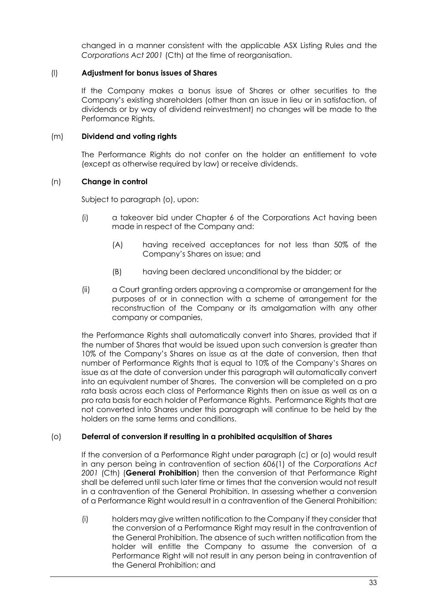changed in a manner consistent with the applicable ASX Listing Rules and the *Corporations Act 2001* (Cth) at the time of reorganisation.

## (l) **Adjustment for bonus issues of Shares**

If the Company makes a bonus issue of Shares or other securities to the Company's existing shareholders (other than an issue in lieu or in satisfaction, of dividends or by way of dividend reinvestment) no changes will be made to the Performance Rights.

## (m) **Dividend and voting rights**

The Performance Rights do not confer on the holder an entitlement to vote (except as otherwise required by law) or receive dividends.

## (n) **Change in control**

Subject to paragraph [\(o\),](#page-33-0) upon:

- (i) a takeover bid under Chapter 6 of the Corporations Act having been made in respect of the Company and:
	- (A) having received acceptances for not less than 50% of the Company's Shares on issue; and
	- (B) having been declared unconditional by the bidder; or
- (ii) a Court granting orders approving a compromise or arrangement for the purposes of or in connection with a scheme of arrangement for the reconstruction of the Company or its amalgamation with any other company or companies,

the Performance Rights shall automatically convert into Shares, provided that if the number of Shares that would be issued upon such conversion is greater than 10% of the Company's Shares on issue as at the date of conversion, then that number of Performance Rights that is equal to 10% of the Company's Shares on issue as at the date of conversion under this paragraph will automatically convert into an equivalent number of Shares. The conversion will be completed on a pro rata basis across each class of Performance Rights then on issue as well as on a pro rata basis for each holder of Performance Rights. Performance Rights that are not converted into Shares under this paragraph will continue to be held by the holders on the same terms and conditions.

## <span id="page-33-0"></span>(o) **Deferral of conversion if resulting in a prohibited acquisition of Shares**

If the conversion of a Performance Right under paragraph (c) or (o) would result in any person being in contravention of section 606(1) of the *Corporations Act 2001* (Cth) (**General Prohibition**) then the conversion of that Performance Right shall be deferred until such later time or times that the conversion would not result in a contravention of the General Prohibition. In assessing whether a conversion of a Performance Right would result in a contravention of the General Prohibition:

(i) holders may give written notification to the Company if they consider that the conversion of a Performance Right may result in the contravention of the General Prohibition. The absence of such written notification from the holder will entitle the Company to assume the conversion of a Performance Right will not result in any person being in contravention of the General Prohibition; and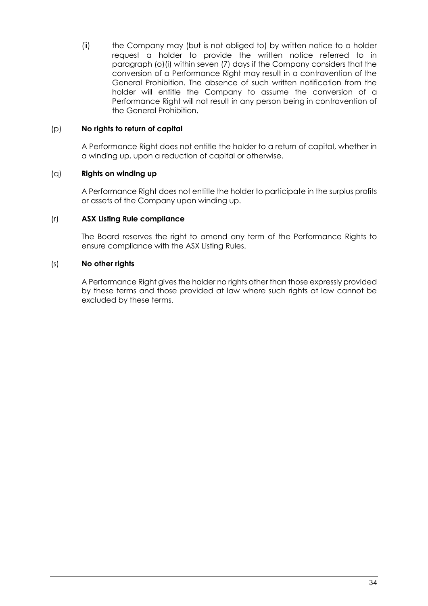(ii) the Company may (but is not obliged to) by written notice to a holder request a holder to provide the written notice referred to in paragraph [\(o\)\(](#page-33-0)i) within seven (7) days if the Company considers that the conversion of a Performance Right may result in a contravention of the General Prohibition. The absence of such written notification from the holder will entitle the Company to assume the conversion of a Performance Right will not result in any person being in contravention of the General Prohibition.

## (p) **No rights to return of capital**

A Performance Right does not entitle the holder to a return of capital, whether in a winding up, upon a reduction of capital or otherwise.

## (q) **Rights on winding up**

A Performance Right does not entitle the holder to participate in the surplus profits or assets of the Company upon winding up.

## (r) **ASX Listing Rule compliance**

The Board reserves the right to amend any term of the Performance Rights to ensure compliance with the ASX Listing Rules.

## (s) **No other rights**

A Performance Right gives the holder no rights other than those expressly provided by these terms and those provided at law where such rights at law cannot be excluded by these terms.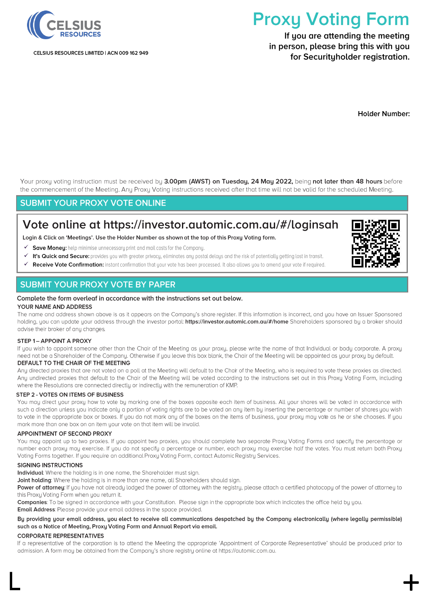

CELSIUS RESOURCES LIMITED | ACN 009 162 949

# **Proxy Voting Form**

If you are attending the meeting in person, please bring this with you for Securityholder registration.

**Holder Number:** 

Your proxy voting instruction must be received by 3.00pm (AWST) on Tuesday, 24 May 2022, being not later than 48 hours before the commencement of the Meeting. Any Proxy Voting instructions received after that time will not be valid for the scheduled Meeting.

## **SUBMIT YOUR PROXY VOTE ONLINE**

## Vote online at https://investor.automic.com.au/#/loginsah

Login & Click on 'Meetings'. Use the Holder Number as shown at the top of this Proxy Voting form.

- ✔ Save Money: help minimise unnecessary print and mail costs for the Company.
- ✓ It's Quick and Secure: provides you with greater privacy, eliminates any postal delays and the risk of potentially getting lost in transit.
- Receive Vote Confirmation: instant confirmation that your vote has been processed. It also allows you to amend your vote if required. ✓

## **SUBMIT YOUR PROXY VOTE BY PAPER**

#### Complete the form overleaf in accordance with the instructions set out below.

#### YOUR NAME AND ADDRESS

The name and address shown above is as it appears on the Company's share register. If this information is incorrect, and you have an Issuer Sponsored holding, you can update your address through the investor portal: https://investor.gutomic.com.gu/#/home Shareholders sponsored by a broker should advise their broker of any changes.

#### STEP 1- APPOINT A PROXY

If you wish to appoint someone other than the Chair of the Meeting as your proxy, please write the name of that Individual or body corporate. A proxy need not be a Shareholder of the Company. Otherwise if you leave this box blank, the Chair of the Meeting will be appointed as your proxy by default.

#### DEFAULT TO THE CHAIR OF THE MEETING

Any directed proxies that are not voted on a poll at the Meeting will default to the Chair of the Meeting, who is required to vote these proxies as directed. Any undirected proxies that default to the Chair of the Meeting will be voted according to the instructions set out in this Proxy Voting Form, including where the Resolutions are connected directly or indirectly with the remuneration of KMP.

#### STEP 2 - VOTES ON ITEMS OF BUSINESS

You may direct your proxy how to vote by marking one of the boxes opposite each item of business. All your shares will be voted in accordance with such a direction unless you indicate only a portion of voting rights are to be voted on any item by inserting the percentage or number of shares you wish to vote in the appropriate box or boxes. If you do not mark any of the boxes on the items of business, your proxy may vote as he or she chooses. If you mark more than one box on an item your vote on that item will be invalid.

#### APPOINTMENT OF SECOND PROXY

You may appoint up to two proxies. If you appoint two proxies, you should complete two separate Proxy Voting Forms and specify the percentage or number each proxy may exercise. If you do not specify a percentage or number, each proxy may exercise half the votes. You must return both Proxy Voting Forms together. If you require an additional Proxy Voting Form, contact Automic Registry Services.

#### **SIGNING INSTRUCTIONS**

Individual: Where the holding is in one name, the Shareholder must sign.

Joint holding: Where the holding is in more than one name, all Shareholders should sign.

Power of attorney: If you have not already lodged the power of attorney with the registry, please attach a certified photocopy of the power of attorney to this Proxy Voting Form when you return it.

Companies: To be signed in accordance with your Constitution. Please sign in the appropriate box which indicates the office held by you.

**Email Address:** Please provide your email address in the space provided.

#### By providing your email address, you elect to receive all communications despatched by the Company electronically (where legally permissible) such as a Notice of Meeting, Proxy Voting Form and Annual Report via email.

#### **CORPORATE REPRESENTATIVES**

If a representative of the corporation is to attend the Meeting the appropriate 'Appointment of Corporate Representative' should be produced prior to admission. A form may be obtained from the Company's share registry online at https://automic.com.au.

 $\mathsf L$